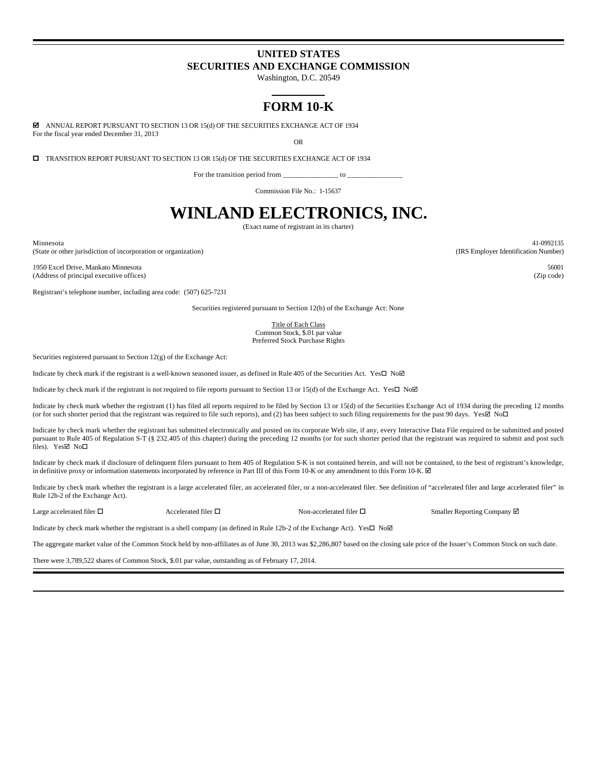# **UNITED STATES SECURITIES AND EXCHANGE COMMISSION**

Washington, D.C. 20549

# **FORM 10-K**

For the fiscal year ended December 31, 2013  $\boxtimes$  ANNUAL REPORT PURSUANT TO SECTION 13 OR 15(d) OF THE SECURITIES EXCHANGE ACT OF 1934

OR

 $\square$  TRANSITION REPORT PURSUANT TO SECTION 13 OR 15(d) OF THE SECURITIES EXCHANGE ACT OF 1934

For the transition period from  $\frac{1}{\sqrt{1-\frac{1}{n}}}\$  to  $\frac{1}{\sqrt{1-\frac{1}{n}}}\$ 

Commission File No.: 1-15637

# **WINLAND ELECTRONICS, INC.**

(Exact name of registrant in its charter)

Minnesota 41-0992135 (State or other jurisdiction of incorporation or organization) (IRS Employer Identification Number)

1950 Excel Drive, Mankato Minnesota 56001 (Address of principal executive offices) (Zip code)

Registrant's telephone number, including area code: (507) 625-7231

Securities registered pursuant to Section 12(b) of the Exchange Act: None

Title of Each Class Common Stock, \$.01 par value Preferred Stock Purchase Rights

Securities registered pursuant to Section 12(g) of the Exchange Act:

Indicate by check mark if the registrant is a well-known seasoned issuer, as defined in Rule 405 of the Securities Act. Yes $\square$  No $\square$ 

Indicate by check mark if the registrant is not required to file reports pursuant to Section 13 or 15(d) of the Exchange Act. Yes $\square$  No $\square$ 

Indicate by check mark whether the registrant (1) has filed all reports required to be filed by Section 13 or 15(d) of the Securities Exchange Act of 1934 during the preceding 12 months (or for such shorter period that the registrant was required to file such reports), and (2) has been subject to such filing requirements for the past 90 days. Yes $\boxtimes$  No $\Box$ 

Indicate by check mark whether the registrant has submitted electronically and posted on its corporate Web site, if any, every Interactive Data File required to be submitted and posted pursuant to Rule 405 of Regulation S-T (§ 232.405 of this chapter) during the preceding 12 months (or for such shorter period that the registrant was required to submit and post such files). Yes $\nabla$  No $\nabla$ 

Indicate by check mark if disclosure of delinquent filers pursuant to Item 405 of Regulation S-K is not contained herein, and will not be contained, to the best of registrant's knowledge, in definitive proxy or information statements incorporated by reference in Part III of this Form 10-K or any amendment to this Form 10-K.  $\boxtimes$ 

Indicate by check mark whether the registrant is a large accelerated filer, an accelerated filer, or a non-accelerated filer. See definition of "accelerated filer and large accelerated filer" in Rule 12b-2 of the Exchange Act).

Large accelerated filer  $\Box$ <br>Accelerated filer  $\Box$  Non-accelerated filer  $\Box$  Smaller Reporting Company  $\boxtimes$ 

Indicate by check mark whether the registrant is a shell company (as defined in Rule 12b-2 of the Exchange Act). Yes $\square$  No $\square$ 

The aggregate market value of the Common Stock held by non-affiliates as of June 30, 2013 was \$2,286,807 based on the closing sale price of the Issuer's Common Stock on such date.

There were 3,789,522 shares of Common Stock, \$.01 par value, outstanding as of February 17, 2014.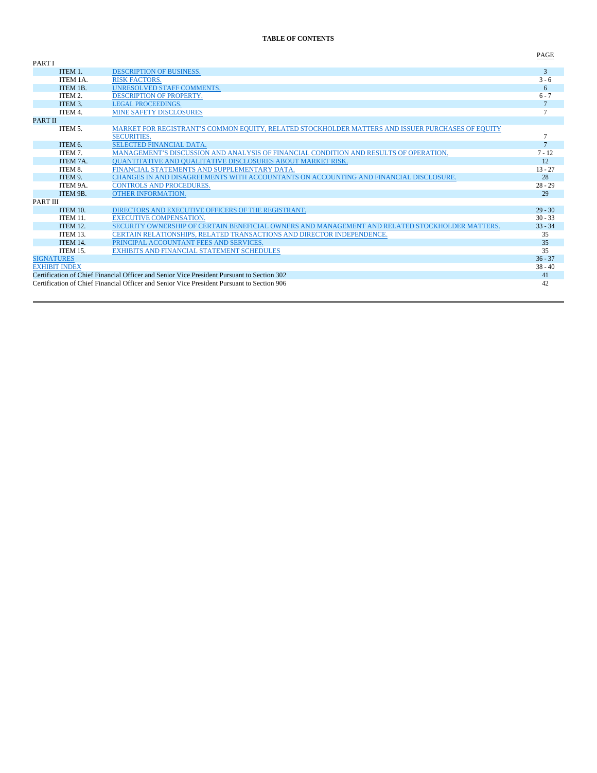# **TABLE OF CONTENTS**

| <b>PARTI</b>         |                                                                                                   | -----           |
|----------------------|---------------------------------------------------------------------------------------------------|-----------------|
| ITEM 1.              | <b>DESCRIPTION OF BUSINESS.</b>                                                                   | 3               |
| ITEM 1A.             | <b>RISK FACTORS.</b>                                                                              | $3 - 6$         |
| ITEM 1B.             | UNRESOLVED STAFF COMMENTS.                                                                        | 6               |
| ITEM 2.              | <b>DESCRIPTION OF PROPERTY.</b>                                                                   | $6 - 7$         |
| ITEM 3.              | LEGAL PROCEEDINGS.                                                                                | $7\phantom{.0}$ |
| ITEM 4.              | <b>MINE SAFETY DISCLOSURES</b>                                                                    |                 |
| <b>PART II</b>       |                                                                                                   |                 |
| ITEM 5.              | MARKET FOR REGISTRANT'S COMMON EQUITY, RELATED STOCKHOLDER MATTERS AND ISSUER PURCHASES OF EQUITY |                 |
|                      | <b>SECURITIES.</b>                                                                                |                 |
| ITEM 6.              | <b>SELECTED FINANCIAL DATA.</b>                                                                   | $\overline{7}$  |
| ITEM 7.              | MANAGEMENT'S DISCUSSION AND ANALYSIS OF FINANCIAL CONDITION AND RESULTS OF OPERATION.             | $7 - 12$        |
| ITEM 7A.             | <b>OUANTITATIVE AND OUALITATIVE DISCLOSURES ABOUT MARKET RISK.</b>                                | 12              |
| ITEM 8.              | FINANCIAL STATEMENTS AND SUPPLEMENTARY DATA.                                                      | $13 - 27$       |
| ITEM 9.              | CHANGES IN AND DISAGREEMENTS WITH ACCOUNTANTS ON ACCOUNTING AND FINANCIAL DISCLOSURE.             | 28              |
| ITEM 9A.             | <b>CONTROLS AND PROCEDURES.</b>                                                                   | $28 - 29$       |
| ITEM 9B.             | <b>OTHER INFORMATION.</b>                                                                         | 29              |
| <b>PART III</b>      |                                                                                                   |                 |
| <b>ITEM 10.</b>      | DIRECTORS AND EXECUTIVE OFFICERS OF THE REGISTRANT.                                               | $29 - 30$       |
| ITEM 11.             | <b>EXECUTIVE COMPENSATION.</b>                                                                    | $30 - 33$       |
| <b>ITEM 12.</b>      | SECURITY OWNERSHIP OF CERTAIN BENEFICIAL OWNERS AND MANAGEMENT AND RELATED STOCKHOLDER MATTERS.   | $33 - 34$       |
| ITEM 13.             | CERTAIN RELATIONSHIPS, RELATED TRANSACTIONS AND DIRECTOR INDEPENDENCE.                            | 35              |
| ITEM 14.             | PRINCIPAL ACCOUNTANT FEES AND SERVICES.                                                           | 35              |
| ITEM 15.             | <b>EXHIBITS AND FINANCIAL STATEMENT SCHEDULES</b>                                                 | 35              |
| <b>SIGNATURES</b>    |                                                                                                   | $36 - 37$       |
| <b>EXHIBIT INDEX</b> |                                                                                                   | $38 - 40$       |
|                      | Certification of Chief Financial Officer and Senior Vice President Pursuant to Section 302        | 41              |
|                      | Certification of Chief Financial Officer and Senior Vice President Pursuant to Section 906        | 42              |

PAGE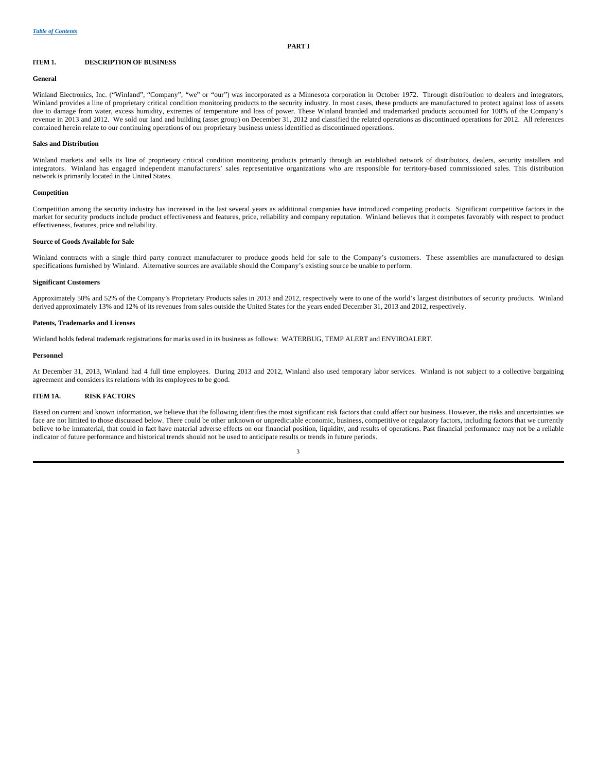## **ITEM 1. DESCRIPTION OF BUSINESS**

#### **General**

Winland Electronics, Inc. ("Winland", "Company", "we" or "our") was incorporated as a Minnesota corporation in October 1972. Through distribution to dealers and integrators, Winland provides a line of proprietary critical condition monitoring products to the security industry. In most cases, these products are manufactured to protect against loss of assets due to damage from water, excess humidity, extremes of temperature and loss of power. These Winland branded and trademarked products accounted for 100% of the Company's revenue in 2013 and 2012. We sold our land and building (asset group) on December 31, 2012 and classified the related operations as discontinued operations for 2012. All references contained herein relate to our continuing operations of our proprietary business unless identified as discontinued operations.

#### **Sales and Distribution**

Winland markets and sells its line of proprietary critical condition monitoring products primarily through an established network of distributors, dealers, security installers and integrators. Winland has engaged independent manufacturers' sales representative organizations who are responsible for territory-based commissioned sales. This distribution network is primarily located in the United States.

#### **Competition**

Competition among the security industry has increased in the last several years as additional companies have introduced competing products. Significant competitive factors in the market for security products include product effectiveness and features, price, reliability and company reputation. Winland believes that it competes favorably with respect to product effectiveness, features, price and reliability.

#### **Source of Goods Available for Sale**

Winland contracts with a single third party contract manufacturer to produce goods held for sale to the Company's customers. These assemblies are manufactured to design specifications furnished by Winland. Alternative sources are available should the Company's existing source be unable to perform.

#### **Significant Customers**

Approximately 50% and 52% of the Company's Proprietary Products sales in 2013 and 2012, respectively were to one of the world's largest distributors of security products. Winland derived approximately 13% and 12% of its revenues from sales outside the United States for the years ended December 31, 2013 and 2012, respectively.

## **Patents, Trademarks and Licenses**

Winland holds federal trademark registrations for marks used in its business as follows: WATERBUG, TEMP ALERT and ENVIROALERT.

#### **Personnel**

At December 31, 2013, Winland had 4 full time employees. During 2013 and 2012, Winland also used temporary labor services. Winland is not subject to a collective bargaining agreement and considers its relations with its employees to be good.

## **ITEM 1A. RISK FACTORS**

Based on current and known information, we believe that the following identifies the most significant risk factors that could affect our business. However, the risks and uncertainties we face are not limited to those discussed below. There could be other unknown or unpredictable economic, business, competitive or regulatory factors, including factors that we currently believe to be immaterial, that could in fact have material adverse effects on our financial position, liquidity, and results of operations. Past financial performance may not be a reliable indicator of future performance and historical trends should not be used to anticipate results or trends in future periods.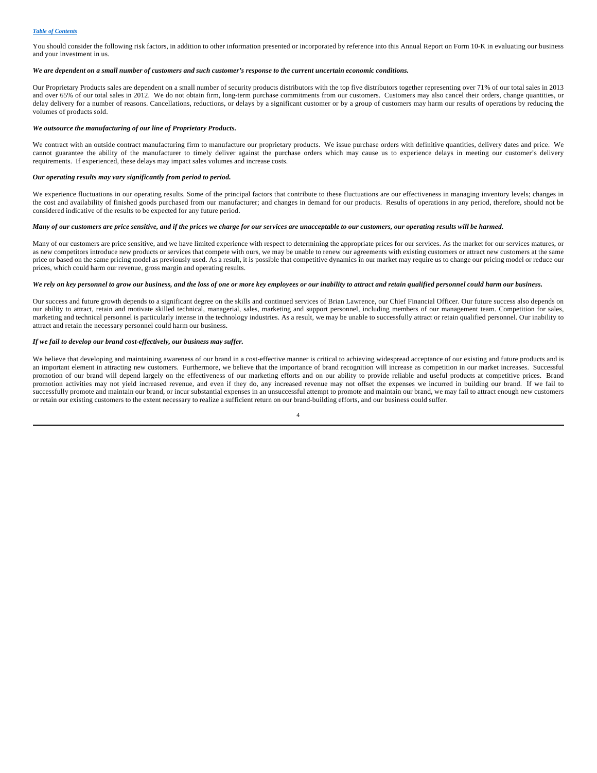You should consider the following risk factors, in addition to other information presented or incorporated by reference into this Annual Report on Form 10-K in evaluating our business and your investment in us.

#### *We are dependent on a small number of customers and such customer's response to the current uncertain economic conditions.*

Our Proprietary Products sales are dependent on a small number of security products distributors with the top five distributors together representing over 71% of our total sales in 2013 and over 65% of our total sales in 2012. We do not obtain firm, long-term purchase commitments from our customers. Customers may also cancel their orders, change quantities, or delay delivery for a number of reasons. Cancellations, reductions, or delays by a significant customer or by a group of customers may harm our results of operations by reducing the volumes of products sold.

#### *We outsource the manufacturing of our line of Proprietary Products.*

We contract with an outside contract manufacturing firm to manufacture our proprietary products. We issue purchase orders with definitive quantities, delivery dates and price. We cannot guarantee the ability of the manufacturer to timely deliver against the purchase orders which may cause us to experience delays in meeting our customer's delivery requirements. If experienced, these delays may impact sales volumes and increase costs.

#### *Our operating results may vary significantly from period to period.*

We experience fluctuations in our operating results. Some of the principal factors that contribute to these fluctuations are our effectiveness in managing inventory levels; changes in the cost and availability of finished goods purchased from our manufacturer; and changes in demand for our products. Results of operations in any period, therefore, should not be considered indicative of the results to be expected for any future period.

#### *Many of our customers are price sensitive, and if the prices we charge for our services are unacceptable to our customers, our operating results will be harmed.*

Many of our customers are price sensitive, and we have limited experience with respect to determining the appropriate prices for our services. As the market for our services matures, or as new competitors introduce new products or services that compete with ours, we may be unable to renew our agreements with existing customers or attract new customers at the same price or based on the same pricing model as previously used. As a result, it is possible that competitive dynamics in our market may require us to change our pricing model or reduce our prices, which could harm our revenue, gross margin and operating results.

## *We rely on key personnel to grow our business, and the loss of one or more key employees or our inability to attract and retain qualified personnel could harm our business.*

Our success and future growth depends to a significant degree on the skills and continued services of Brian Lawrence, our Chief Financial Officer. Our future success also depends on our ability to attract, retain and motivate skilled technical, managerial, sales, marketing and support personnel, including members of our management team. Competition for sales, marketing and technical personnel is particularly intense in the technology industries. As a result, we may be unable to successfully attract or retain qualified personnel. Our inability to attract and retain the necessary personnel could harm our business.

#### *If we fail to develop our brand cost-effectively, our business may suffer.*

We believe that developing and maintaining awareness of our brand in a cost-effective manner is critical to achieving widespread acceptance of our existing and future products and is an important element in attracting new customers. Furthermore, we believe that the importance of brand recognition will increase as competition in our market increases. Successful promotion of our brand will depend largely on the effectiveness of our marketing efforts and on our ability to provide reliable and useful products at competitive prices. Brand promotion activities may not yield increased revenue, and even if they do, any increased revenue may not offset the expenses we incurred in building our brand. If we fail to successfully promote and maintain our brand, or incur substantial expenses in an unsuccessful attempt to promote and maintain our brand, we may fail to attract enough new customers or retain our existing customers to the extent necessary to realize a sufficient return on our brand-building efforts, and our business could suffer.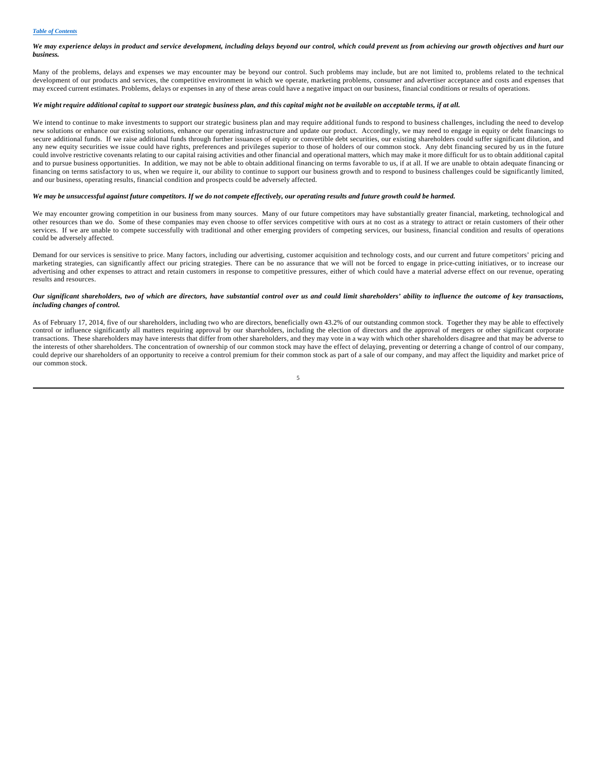## *We may experience delays in product and service development, including delays beyond our control, which could prevent us from achieving our growth objectives and hurt our business.*

Many of the problems, delays and expenses we may encounter may be beyond our control. Such problems may include, but are not limited to, problems related to the technical development of our products and services, the competitive environment in which we operate, marketing problems, consumer and advertiser acceptance and costs and expenses that may exceed current estimates. Problems, delays or expenses in any of these areas could have a negative impact on our business, financial conditions or results of operations.

#### *We might require additional capital to support our strategic business plan, and this capital might not be available on acceptable terms, if at all.*

We intend to continue to make investments to support our strategic business plan and may require additional funds to respond to business challenges, including the need to develop new solutions or enhance our existing solutions, enhance our operating infrastructure and update our product. Accordingly, we may need to engage in equity or debt financings to secure additional funds. If we raise additional funds through further issuances of equity or convertible debt securities, our existing shareholders could suffer significant dilution, and any new equity securities we issue could have rights, preferences and privileges superior to those of holders of our common stock. Any debt financing secured by us in the future could involve restrictive covenants relating to our capital raising activities and other financial and operational matters, which may make it more difficult for us to obtain additional capital and to pursue business opportunities. In addition, we may not be able to obtain additional financing on terms favorable to us, if at all. If we are unable to obtain adequate financing or financing on terms satisfactory to us, when we require it, our ability to continue to support our business growth and to respond to business challenges could be significantly limited, and our business, operating results, financial condition and prospects could be adversely affected.

#### *We may be unsuccessful against future competitors. If we do not compete effectively, our operating results and future growth could be harmed.*

We may encounter growing competition in our business from many sources. Many of our future competitors may have substantially greater financial, marketing, technological and other resources than we do. Some of these companies may even choose to offer services competitive with ours at no cost as a strategy to attract or retain customers of their other services. If we are unable to compete successfully with traditional and other emerging providers of competing services, our business, financial condition and results of operations could be adversely affected.

Demand for our services is sensitive to price. Many factors, including our advertising, customer acquisition and technology costs, and our current and future competitors' pricing and marketing strategies, can significantly affect our pricing strategies. There can be no assurance that we will not be forced to engage in price-cutting initiatives, or to increase our advertising and other expenses to attract and retain customers in response to competitive pressures, either of which could have a material adverse effect on our revenue, operating results and resources.

## *Our significant shareholders, two of which are directors, have substantial control over us and could limit shareholders' ability to influence the outcome of key transactions, including changes of control.*

As of February 17, 2014, five of our shareholders, including two who are directors, beneficially own 43.2% of our outstanding common stock. Together they may be able to effectively control or influence significantly all matters requiring approval by our shareholders, including the election of directors and the approval of mergers or other significant corporate transactions. These shareholders may have interests that differ from other shareholders, and they may vote in a way with which other shareholders disagree and that may be adverse to the interests of other shareholders. The concentration of ownership of our common stock may have the effect of delaying, preventing or deterring a change of control of our company, could deprive our shareholders of an opportunity to receive a control premium for their common stock as part of a sale of our company, and may affect the liquidity and market price of our common stock.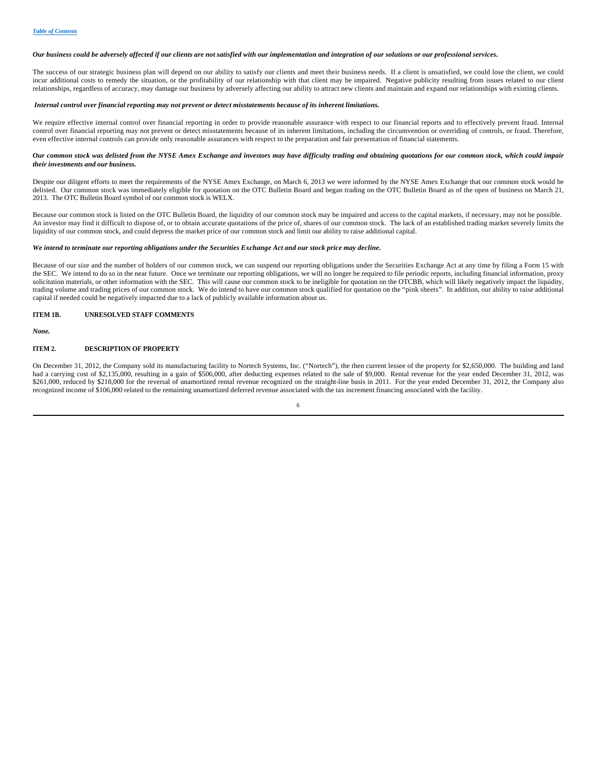#### *Our business could be adversely affected if our clients are not satisfied with our implementation and integration of our solutions or our professional services.*

The success of our strategic business plan will depend on our ability to satisfy our clients and meet their business needs. If a client is unsatisfied, we could lose the client, we could incur additional costs to remedy the situation, or the profitability of our relationship with that client may be impaired. Negative publicity resulting from issues related to our client relationships, regardless of accuracy, may damage our business by adversely affecting our ability to attract new clients and maintain and expand our relationships with existing clients.

#### *Internal control over financial reporting may not prevent or detect misstatements because of its inherent limitations.*

We require effective internal control over financial reporting in order to provide reasonable assurance with respect to our financial reports and to effectively prevent fraud. Internal control over financial reporting may not prevent or detect misstatements because of its inherent limitations, including the circumvention or overriding of controls, or fraud. Therefore, even effective internal controls can provide only reasonable assurances with respect to the preparation and fair presentation of financial statements.

#### *Our common stock was delisted from the NYSE Amex Exchange and investors may have difficulty trading and obtaining quotations for our common stock, which could impair their investments and our business.*

Despite our diligent efforts to meet the requirements of the NYSE Amex Exchange, on March 6, 2013 we were informed by the NYSE Amex Exchange that our common stock would be delisted. Our common stock was immediately eligible for quotation on the OTC Bulletin Board and began trading on the OTC Bulletin Board as of the open of business on March 21, 2013. The OTC Bulletin Board symbol of our common stock is WELX.

Because our common stock is listed on the OTC Bulletin Board, the liquidity of our common stock may be impaired and access to the capital markets, if necessary, may not be possible. An investor may find it difficult to dispose of, or to obtain accurate quotations of the price of, shares of our common stock. The lack of an established trading market severely limits the liquidity of our common stock, and could depress the market price of our common stock and limit our ability to raise additional capital.

#### *We intend to terminate our reporting obligations under the Securities Exchange Act and our stock price may decline.*

Because of our size and the number of holders of our common stock, we can suspend our reporting obligations under the Securities Exchange Act at any time by filing a Form 15 with the SEC. We intend to do so in the near future. Once we terminate our reporting obligations, we will no longer be required to file periodic reports, including financial information, proxy solicitation materials, or other information with the SEC. This will cause our common stock to be ineligible for quotation on the OTCBB, which will likely negatively impact the liquidity, trading volume and trading prices of our common stock. We do intend to have our common stock qualified for quotation on the "pink sheets". In addition, our ability to raise additional capital if needed could be negatively impacted due to a lack of publicly available information about us.

#### **ITEM 1B. UNRESOLVED STAFF COMMENTS**

*None.*

## **ITEM 2. DESCRIPTION OF PROPERTY**

On December 31, 2012, the Company sold its manufacturing facility to Nortech Systems, Inc. ("Nortech"), the then current lessee of the property for \$2,650,000. The building and land had a carrying cost of \$2,135,000, resulting in a gain of \$506,000, after deducting expenses related to the sale of \$9,000. Rental revenue for the year ended December 31, 2012, was \$261,000, reduced by \$218,000 for the reversal of unamortized rental revenue recognized on the straight-line basis in 2011. For the year ended December 31, 2012, the Company also recognized income of \$106,000 related to the remaining unamortized deferred revenue associated with the tax increment financing associated with the facility.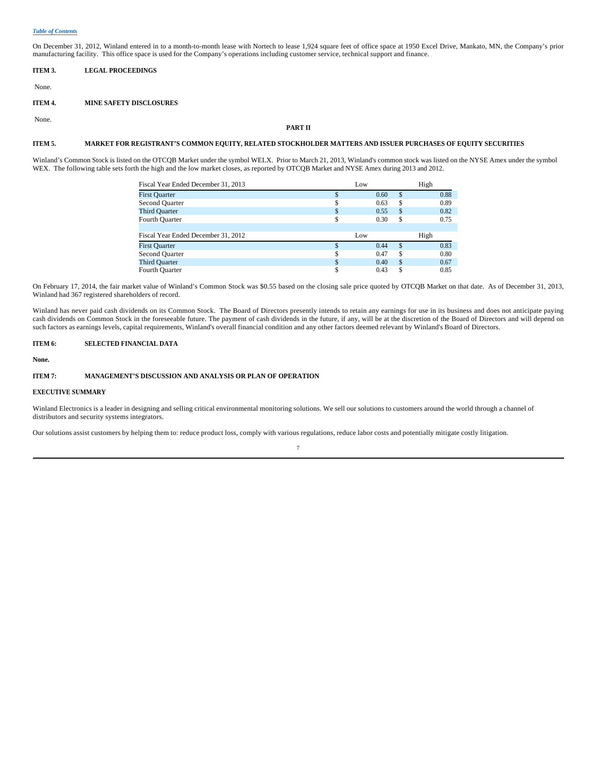On December 31, 2012, Winland entered in to a month-to-month lease with Nortech to lease 1,924 square feet of office space at 1950 Excel Drive, Mankato, MN, the Company's prior manufacturing facility. This office space is used for the Company's operations including customer service, technical support and finance.

**ITEM 3. LEGAL PROCEEDINGS**

None.

## **ITEM 4. MINE SAFETY DISCLOSURES**

None.

## **PART II**

## **ITEM 5. MARKET FOR REGISTRANT'S COMMON EQUITY, RELATED STOCKHOLDER MATTERS AND ISSUER PURCHASES OF EQUITY SECURITIES**

Winland's Common Stock is listed on the OTCQB Market under the symbol WELX. Prior to March 21, 2013, Winland's common stock was listed on the NYSE Amex under the symbol WEX. The following table sets forth the high and the low market closes, as reported by OTCQB Market and NYSE Amex during 2013 and 2012.

| Fiscal Year Ended December 31, 2013 |     | Low |      |     | High |      |
|-------------------------------------|-----|-----|------|-----|------|------|
| <b>First Quarter</b>                | \$. |     | 0.60 | \$. |      | 0.88 |
| Second Quarter                      |     |     | 0.63 | S   |      | 0.89 |
| <b>Third Quarter</b>                | \$  |     | 0.55 | \$  |      | 0.82 |
| Fourth Quarter                      | S   |     | 0.30 | S   |      | 0.75 |
|                                     |     |     |      |     |      |      |
| Fiscal Year Ended December 31, 2012 |     | Low |      |     | High |      |
| <b>First Quarter</b>                | ¢   |     | 0.44 | \$. |      | 0.83 |
| Second Quarter                      | ¢   |     | 0.47 | S   |      | 0.80 |
| <b>Third Quarter</b>                | \$. |     | 0.40 | \$. |      | 0.67 |
| Fourth Quarter                      |     |     | 0.43 |     |      | 0.85 |

On February 17, 2014, the fair market value of Winland's Common Stock was \$0.55 based on the closing sale price quoted by OTCQB Market on that date. As of December 31, 2013, Winland had 367 registered shareholders of record.

Winland has never paid cash dividends on its Common Stock. The Board of Directors presently intends to retain any earnings for use in its business and does not anticipate paying cash dividends on Common Stock in the foreseeable future. The payment of cash dividends in the future, if any, will be at the discretion of the Board of Directors and will depend on such factors as earnings levels, capital requirements, Winland's overall financial condition and any other factors deemed relevant by Winland's Board of Directors.

## **ITEM 6: SELECTED FINANCIAL DATA**

#### **None.**

## **ITEM 7: MANAGEMENT'S DISCUSSION AND ANALYSIS OR PLAN OF OPERATION**

## **EXECUTIVE SUMMARY**

Winland Electronics is a leader in designing and selling critical environmental monitoring solutions. We sell our solutions to customers around the world through a channel of distributors and security systems integrators.

Our solutions assist customers by helping them to: reduce product loss, comply with various regulations, reduce labor costs and potentially mitigate costly litigation.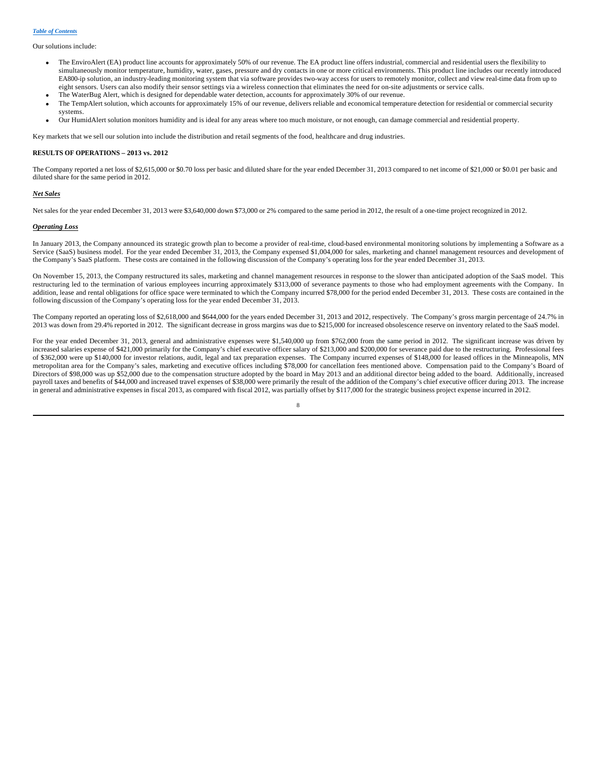Our solutions include:

- · The EnviroAlert (EA) product line accounts for approximately 50% of our revenue. The EA product line offers industrial, commercial and residential users the flexibility to simultaneously monitor temperature, humidity, water, gases, pressure and dry contacts in one or more critical environments. This product line includes our recently introduced EA800-ip solution, an industry-leading monitoring system that via software provides two-way access for users to remotely monitor, collect and view real-time data from up to eight sensors. Users can also modify their sensor settings via a wireless connection that eliminates the need for on-site adjustments or service calls.
- The WaterBug Alert, which is designed for dependable water detection, accounts for approximately 30% of our revenue.
- · The TempAlert solution, which accounts for approximately 15% of our revenue, delivers reliable and economical temperature detection for residential or commercial security systems.
- · Our HumidAlert solution monitors humidity and is ideal for any areas where too much moisture, or not enough, can damage commercial and residential property.

Key markets that we sell our solution into include the distribution and retail segments of the food, healthcare and drug industries.

#### **RESULTS OF OPERATIONS – 2013 vs. 2012**

The Company reported a net loss of \$2,615,000 or \$0.70 loss per basic and diluted share for the year ended December 31, 2013 compared to net income of \$21,000 or \$0.01 per basic and diluted share for the same period in 2012.

### *Net Sales*

Net sales for the year ended December 31, 2013 were \$3,640,000 down \$73,000 or 2% compared to the same period in 2012, the result of a one-time project recognized in 2012.

#### *Operating Loss*

In January 2013, the Company announced its strategic growth plan to become a provider of real-time, cloud-based environmental monitoring solutions by implementing a Software as a Service (SaaS) business model. For the year ended December 31, 2013, the Company expensed \$1,004,000 for sales, marketing and channel management resources and development of the Company's SaaS platform. These costs are contained in the following discussion of the Company's operating loss for the year ended December 31, 2013.

On November 15, 2013, the Company restructured its sales, marketing and channel management resources in response to the slower than anticipated adoption of the SaaS model. This restructuring led to the termination of various employees incurring approximately \$313,000 of severance payments to those who had employment agreements with the Company. In addition, lease and rental obligations for office space were terminated to which the Company incurred \$78,000 for the period ended December 31, 2013. These costs are contained in the following discussion of the Company's operating loss for the year ended December 31, 2013.

The Company reported an operating loss of \$2,618,000 and \$644,000 for the years ended December 31, 2013 and 2012, respectively. The Company's gross margin percentage of 24.7% in 2013 was down from 29.4% reported in 2012. The significant decrease in gross margins was due to \$215,000 for increased obsolescence reserve on inventory related to the SaaS model.

For the year ended December 31, 2013, general and administrative expenses were \$1,540,000 up from \$762,000 from the same period in 2012. The significant increase was driven by increased salaries expense of \$421,000 primarily for the Company's chief executive officer salary of \$213,000 and \$200,000 for severance paid due to the restructuring. Professional fees of \$362,000 were up \$140,000 for investor relations, audit, legal and tax preparation expenses. The Company incurred expenses of \$148,000 for leased offices in the Minneapolis, MN metropolitan area for the Company's sales, marketing and executive offices including \$78,000 for cancellation fees mentioned above. Compensation paid to the Company's Board of Directors of \$98,000 was up \$52,000 due to the compensation structure adopted by the board in May 2013 and an additional director being added to the board. Additionally, increased payroll taxes and benefits of \$44,000 and increased travel expenses of \$38,000 were primarily the result of the addition of the Company's chief executive officer during 2013. The increase in general and administrative expenses in fiscal 2013, as compared with fiscal 2012, was partially offset by \$117,000 for the strategic business project expense incurred in 2012.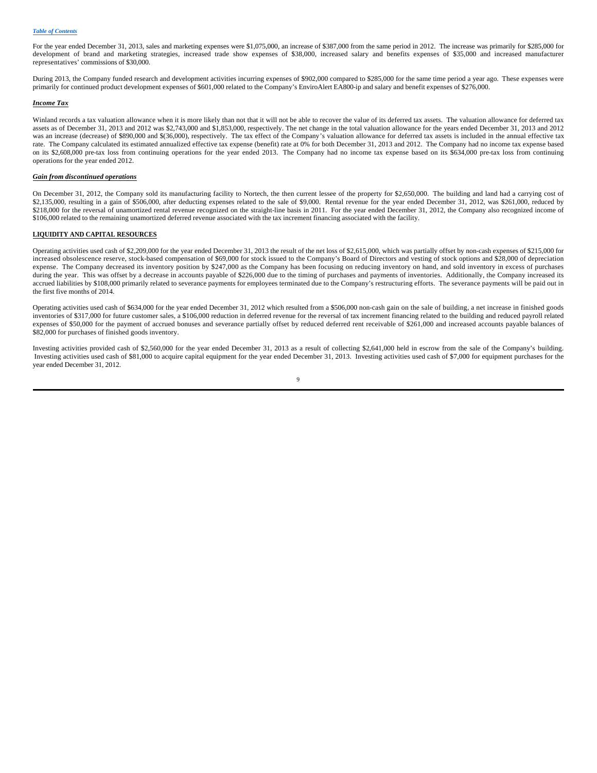For the year ended December 31, 2013, sales and marketing expenses were \$1,075,000, an increase of \$387,000 from the same period in 2012. The increase was primarily for \$285,000 for development of brand and marketing strategies, increased trade show expenses of \$38,000, increased salary and benefits expenses of \$35,000 and increased manufacturer representatives' commissions of \$30,000.

During 2013, the Company funded research and development activities incurring expenses of \$902,000 compared to \$285,000 for the same time period a year ago. These expenses were primarily for continued product development expenses of \$601,000 related to the Company's EnviroAlert EA800-ip and salary and benefit expenses of \$276,000.

#### *Income Tax*

Winland records a tax valuation allowance when it is more likely than not that it will not be able to recover the value of its deferred tax assets. The valuation allowance for deferred tax assets as of December 31, 2013 and 2012 was \$2,743,000 and \$1,853,000, respectively. The net change in the total valuation allowance for the years ended December 31, 2013 and 2012 was an increase (decrease) of \$890,000 and \$(36,000), respectively. The tax effect of the Company's valuation allowance for deferred tax assets is included in the annual effective tax rate. The Company calculated its estimated annualized effective tax expense (benefit) rate at 0% for both December 31, 2013 and 2012. The Company had no income tax expense based on its \$2,608,000 pre-tax loss from continuing operations for the year ended 2013. The Company had no income tax expense based on its \$634,000 pre-tax loss from continuing operations for the year ended 2012.

## *Gain from discontinued operations*

On December 31, 2012, the Company sold its manufacturing facility to Nortech, the then current lessee of the property for \$2,650,000. The building and land had a carrying cost of \$2,135,000, resulting in a gain of \$506,000, after deducting expenses related to the sale of \$9,000. Rental revenue for the year ended December 31, 2012, was \$261,000, reduced by \$218,000 for the reversal of unamortized rental revenue recognized on the straight-line basis in 2011. For the year ended December 31, 2012, the Company also recognized income of \$106,000 related to the remaining unamortized deferred revenue associated with the tax increment financing associated with the facility.

#### **LIQUIDITY AND CAPITAL RESOURCES**

Operating activities used cash of \$2,209,000 for the year ended December 31, 2013 the result of the net loss of \$2,615,000, which was partially offset by non-cash expenses of \$215,000 for increased obsolescence reserve, stock-based compensation of \$69,000 for stock issued to the Company's Board of Directors and vesting of stock options and \$28,000 of depreciation expense. The Company decreased its inventory position by \$247,000 as the Company has been focusing on reducing inventory on hand, and sold inventory in excess of purchases during the year. This was offset by a decrease in accounts payable of \$226,000 due to the timing of purchases and payments of inventories. Additionally, the Company increased its accrued liabilities by \$108,000 primarily related to severance payments for employees terminated due to the Company's restructuring efforts. The severance payments will be paid out in the first five months of 2014.

Operating activities used cash of \$634,000 for the year ended December 31, 2012 which resulted from a \$506,000 non-cash gain on the sale of building, a net increase in finished goods inventories of \$317,000 for future customer sales, a \$106,000 reduction in deferred revenue for the reversal of tax increment financing related to the building and reduced payroll related expenses of \$50,000 for the payment of accrued bonuses and severance partially offset by reduced deferred rent receivable of \$261,000 and increased accounts payable balances of \$82,000 for purchases of finished goods inventory.

Investing activities provided cash of \$2,560,000 for the year ended December 31, 2013 as a result of collecting \$2,641,000 held in escrow from the sale of the Company's building. Investing activities used cash of \$81,000 to acquire capital equipment for the year ended December 31, 2013. Investing activities used cash of \$7,000 for equipment purchases for the year ended December 31, 2012.

 $\overline{Q}$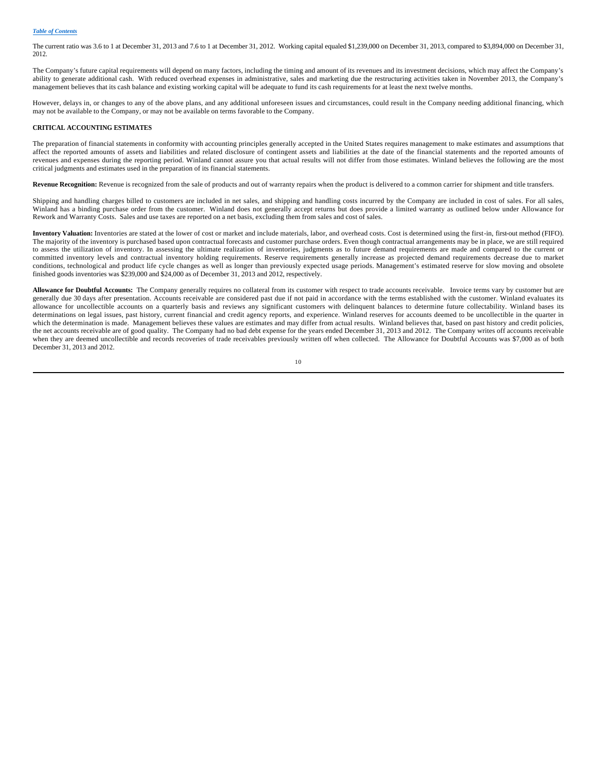The current ratio was 3.6 to 1 at December 31, 2013 and 7.6 to 1 at December 31, 2012. Working capital equaled \$1,239,000 on December 31, 2013, compared to \$3,894,000 on December 31, 2012.

The Company's future capital requirements will depend on many factors, including the timing and amount of its revenues and its investment decisions, which may affect the Company's ability to generate additional cash. With reduced overhead expenses in administrative, sales and marketing due the restructuring activities taken in November 2013, the Company's management believes that its cash balance and existing working capital will be adequate to fund its cash requirements for at least the next twelve months.

However, delays in, or changes to any of the above plans, and any additional unforeseen issues and circumstances, could result in the Company needing additional financing, which may not be available to the Company, or may not be available on terms favorable to the Company.

## **CRITICAL ACCOUNTING ESTIMATES**

The preparation of financial statements in conformity with accounting principles generally accepted in the United States requires management to make estimates and assumptions that affect the reported amounts of assets and liabilities and related disclosure of contingent assets and liabilities at the date of the financial statements and the reported amounts of revenues and expenses during the reporting period. Winland cannot assure you that actual results will not differ from those estimates. Winland believes the following are the most critical judgments and estimates used in the preparation of its financial statements.

**Revenue Recognition:** Revenue is recognized from the sale of products and out of warranty repairs when the product is delivered to a common carrier for shipment and title transfers.

Shipping and handling charges billed to customers are included in net sales, and shipping and handling costs incurred by the Company are included in cost of sales. For all sales, Winland has a binding purchase order from the customer. Winland does not generally accept returns but does provide a limited warranty as outlined below under Allowance for Rework and Warranty Costs. Sales and use taxes are reported on a net basis, excluding them from sales and cost of sales.

**Inventory Valuation:** Inventories are stated at the lower of cost or market and include materials, labor, and overhead costs. Cost is determined using the first-in, first-out method (FIFO). The majority of the inventory is purchased based upon contractual forecasts and customer purchase orders. Even though contractual arrangements may be in place, we are still required to assess the utilization of inventory. In assessing the ultimate realization of inventories, judgments as to future demand requirements are made and compared to the current or committed inventory levels and contractual inventory holding requirements. Reserve requirements generally increase as projected demand requirements decrease due to market conditions, technological and product life cycle changes as well as longer than previously expected usage periods. Management's estimated reserve for slow moving and obsolete finished goods inventories was \$239,000 and \$24,000 as of December 31, 2013 and 2012, respectively.

**Allowance for Doubtful Accounts:** The Company generally requires no collateral from its customer with respect to trade accounts receivable. Invoice terms vary by customer but are generally due 30 days after presentation. Accounts receivable are considered past due if not paid in accordance with the terms established with the customer. Winland evaluates its allowance for uncollectible accounts on a quarterly basis and reviews any significant customers with delinquent balances to determine future collectability. Winland bases its determinations on legal issues, past history, current financial and credit agency reports, and experience. Winland reserves for accounts deemed to be uncollectible in the quarter in which the determination is made. Management believes these values are estimates and may differ from actual results. Winland believes that, based on past history and credit policies, the net accounts receivable are of good quality. The Company had no bad debt expense for the years ended December 31, 2013 and 2012. The Company writes off accounts receivable when they are deemed uncollectible and records recoveries of trade receivables previously written off when collected. The Allowance for Doubtful Accounts was \$7,000 as of both December 31, 2013 and 2012.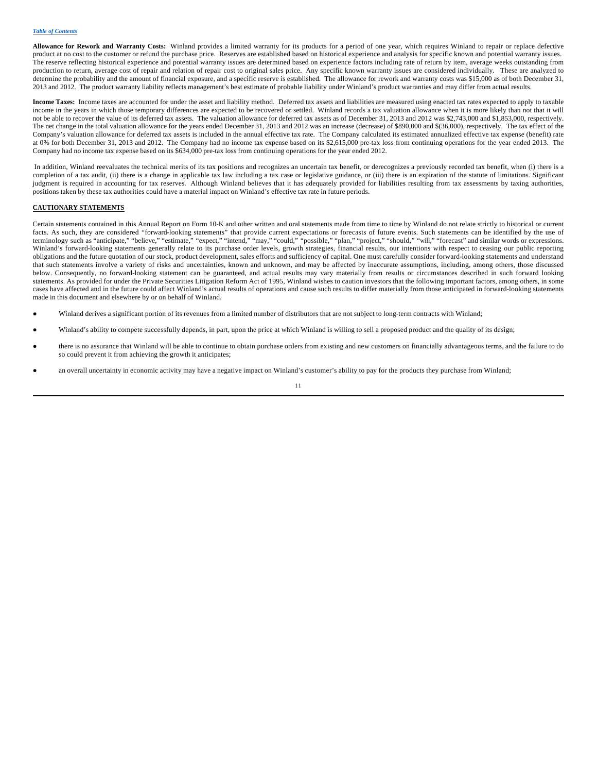**Allowance for Rework and Warranty Costs:** Winland provides a limited warranty for its products for a period of one year, which requires Winland to repair or replace defective product at no cost to the customer or refund the purchase price. Reserves are established based on historical experience and analysis for specific known and potential warranty issues. The reserve reflecting historical experience and potential warranty issues are determined based on experience factors including rate of return by item, average weeks outstanding from production to return, average cost of repair and relation of repair cost to original sales price. Any specific known warranty issues are considered individually. These are analyzed to determine the probability and the amount of financial exposure, and a specific reserve is established. The allowance for rework and warranty costs was \$15,000 as of both December 31, 2013 and 2012. The product warranty liability reflects management's best estimate of probable liability under Winland's product warranties and may differ from actual results.

**Income Taxes:** Income taxes are accounted for under the asset and liability method. Deferred tax assets and liabilities are measured using enacted tax rates expected to apply to taxable income in the years in which those temporary differences are expected to be recovered or settled. Winland records a tax valuation allowance when it is more likely than not that it will not be able to recover the value of its deferred tax assets. The valuation allowance for deferred tax assets as of December 31, 2013 and 2012 was \$2,743,000 and \$1,853,000, respectively. The net change in the total valuation allowance for the years ended December 31, 2013 and 2012 was an increase (decrease) of \$890,000 and \$(36,000), respectively. The tax effect of the Company's valuation allowance for deferred tax assets is included in the annual effective tax rate. The Company calculated its estimated annualized effective tax expense (benefit) rate at 0% for both December 31, 2013 and 2012. The Company had no income tax expense based on its \$2,615,000 pre-tax loss from continuing operations for the year ended 2013. The Company had no income tax expense based on its \$634,000 pre-tax loss from continuing operations for the year ended 2012.

In addition, Winland reevaluates the technical merits of its tax positions and recognizes an uncertain tax benefit, or derecognizes a previously recorded tax benefit, when (i) there is a completion of a tax audit, (ii) there is a change in applicable tax law including a tax case or legislative guidance, or (iii) there is an expiration of the statute of limitations. Significant judgment is required in accounting for tax reserves. Although Winland believes that it has adequately provided for liabilities resulting from tax assessments by taxing authorities, positions taken by these tax authorities could have a material impact on Winland's effective tax rate in future periods.

## **CAUTIONARY STATEMENTS**

Certain statements contained in this Annual Report on Form 10-K and other written and oral statements made from time to time by Winland do not relate strictly to historical or current facts. As such, they are considered "forward-looking statements" that provide current expectations or forecasts of future events. Such statements can be identified by the use of terminology such as "anticipate," "believe," "estimate," "expect," "intend," "may," "could," "possible," "plan," "project," "should," "will," "forecast" and similar words or expressions. Winland's forward-looking statements generally relate to its purchase order levels, growth strategies, financial results, our intentions with respect to ceasing our public reporting obligations and the future quotation of our stock, product development, sales efforts and sufficiency of capital. One must carefully consider forward-looking statements and understand that such statements involve a variety of risks and uncertainties, known and unknown, and may be affected by inaccurate assumptions, including, among others, those discussed below. Consequently, no forward-looking statement can be guaranteed, and actual results may vary materially from results or circumstances described in such forward looking statements. As provided for under the Private Securities Litigation Reform Act of 1995, Winland wishes to caution investors that the following important factors, among others, in some cases have affected and in the future could affect Winland's actual results of operations and cause such results to differ materially from those anticipated in forward-looking statements made in this document and elsewhere by or on behalf of Winland.

- Winland derives a significant portion of its revenues from a limited number of distributors that are not subject to long-term contracts with Winland;
- Winland's ability to compete successfully depends, in part, upon the price at which Winland is willing to sell a proposed product and the quality of its design;
- there is no assurance that Winland will be able to continue to obtain purchase orders from existing and new customers on financially advantageous terms, and the failure to do so could prevent it from achieving the growth it anticipates;
- an overall uncertainty in economic activity may have a negative impact on Winland's customer's ability to pay for the products they purchase from Winland;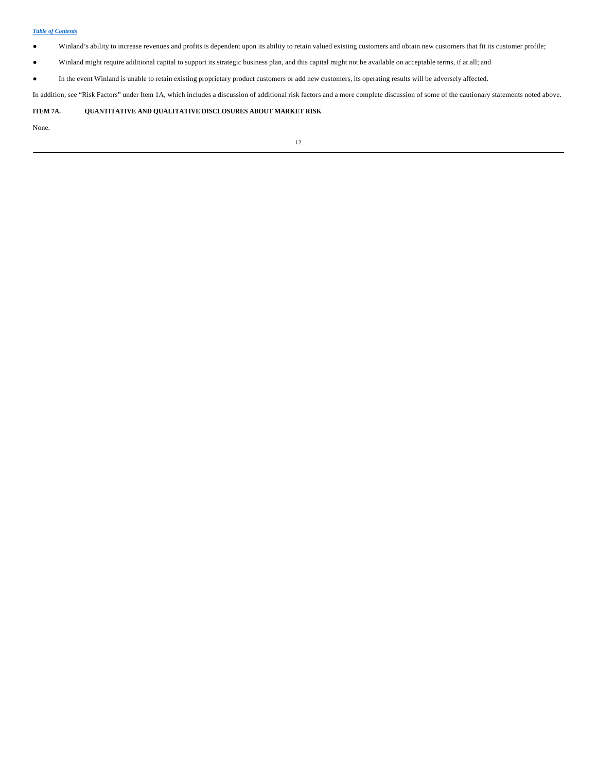- Winland's ability to increase revenues and profits is dependent upon its ability to retain valued existing customers and obtain new customers that fit its customer profile;
- Winland might require additional capital to support its strategic business plan, and this capital might not be available on acceptable terms, if at all; and
- In the event Winland is unable to retain existing proprietary product customers or add new customers, its operating results will be adversely affected.

In addition, see "Risk Factors" under Item 1A, which includes a discussion of additional risk factors and a more complete discussion of some of the cautionary statements noted above.

## **ITEM 7A. QUANTITATIVE AND QUALITATIVE DISCLOSURES ABOUT MARKET RISK**

None.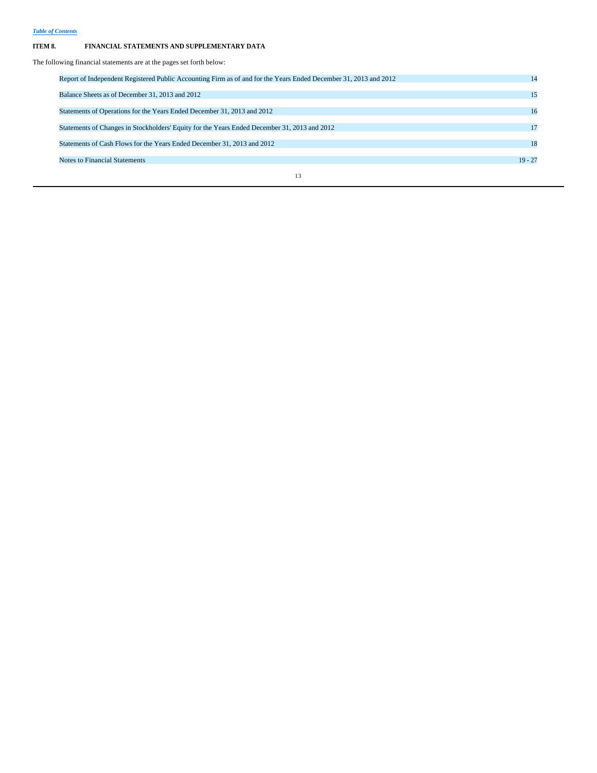# **ITEM 8. FINANCIAL STATEMENTS AND SUPPLEMENTARY DATA**

The following financial statements are at the pages set forth below:

| Report of Independent Registered Public Accounting Firm as of and for the Years Ended December 31, 2013 and 2012 | 14        |
|------------------------------------------------------------------------------------------------------------------|-----------|
| Balance Sheets as of December 31, 2013 and 2012                                                                  | 15        |
| Statements of Operations for the Years Ended December 31, 2013 and 2012                                          | 16        |
| Statements of Changes in Stockholders' Equity for the Years Ended December 31, 2013 and 2012                     | 17        |
| Statements of Cash Flows for the Years Ended December 31, 2013 and 2012                                          | 18        |
| <b>Notes to Financial Statements</b>                                                                             | $19 - 27$ |
| 13                                                                                                               |           |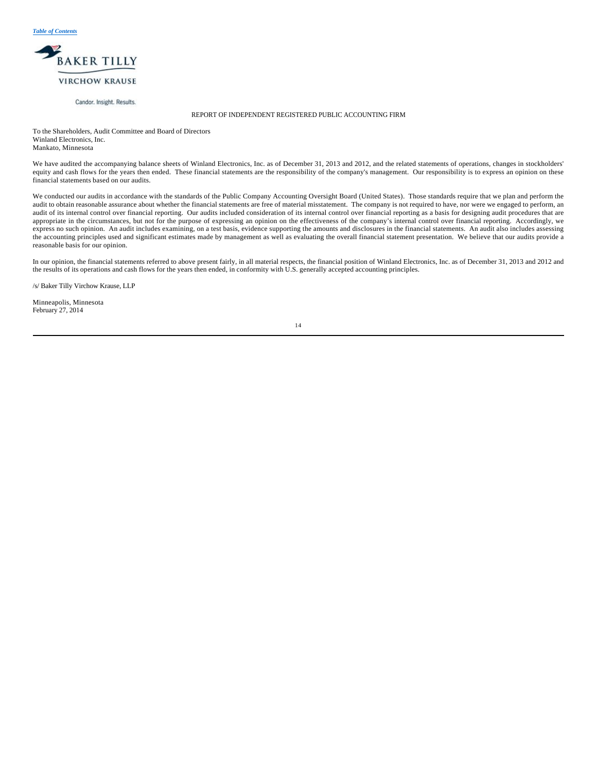

Candor. Insight. Results.

## REPORT OF INDEPENDENT REGISTERED PUBLIC ACCOUNTING FIRM

To the Shareholders, Audit Committee and Board of Directors Winland Electronics, Inc. Mankato, Minnesota

We have audited the accompanying balance sheets of Winland Electronics, Inc. as of December 31, 2013 and 2012, and the related statements of operations, changes in stockholders' equity and cash flows for the years then ended. These financial statements are the responsibility of the company's management. Our responsibility is to express an opinion on these financial statements based on our audits.

We conducted our audits in accordance with the standards of the Public Company Accounting Oversight Board (United States). Those standards require that we plan and perform the audit to obtain reasonable assurance about whether the financial statements are free of material misstatement. The company is not required to have, nor were we engaged to perform, an and the outlier of the company is not r audit of its internal control over financial reporting. Our audits included consideration of its internal control over financial reporting as a basis for designing audit procedures that are appropriate in the circumstances, but not for the purpose of expressing an opinion on the effectiveness of the company's internal control over financial reporting. Accordingly, we express no such opinion. An audit includes examining, on a test basis, evidence supporting the amounts and disclosures in the financial statements. An audit also includes assessing the accounting principles used and significant estimates made by management as well as evaluating the overall financial statement presentation. We believe that our audits provide a reasonable basis for our opinion.

In our opinion, the financial statements referred to above present fairly, in all material respects, the financial position of Winland Electronics, Inc. as of December 31, 2013 and 2012 and the results of its operations and cash flows for the years then ended, in conformity with U.S. generally accepted accounting principles.

/s/ Baker Tilly Virchow Krause, LLP

Minneapolis, Minnesota February 27, 2014

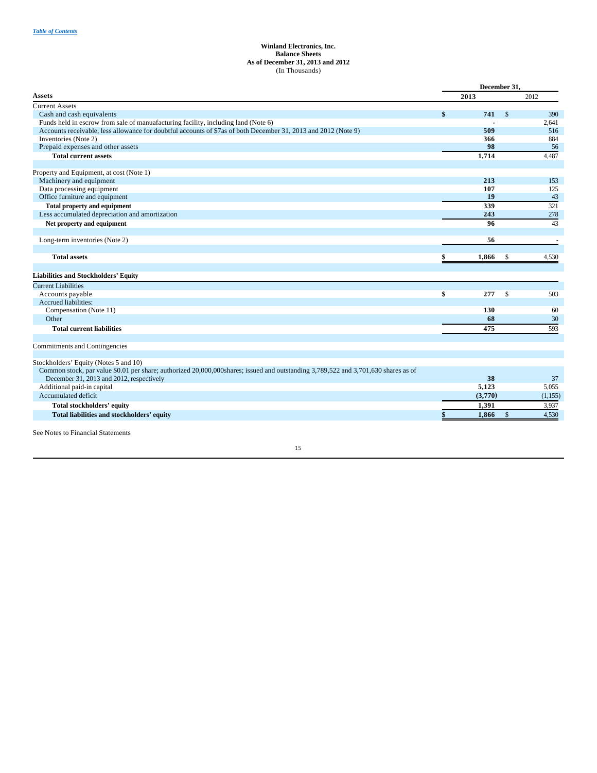## **Winland Electronics, Inc. Balance Sheets As of December 31, 2013 and 2012** (In Thousands)

|                                                                                                                                    | December 31, |              |          |  |
|------------------------------------------------------------------------------------------------------------------------------------|--------------|--------------|----------|--|
| Assets                                                                                                                             | 2013         |              | 2012     |  |
| <b>Current Assets</b>                                                                                                              |              |              |          |  |
| Cash and cash equivalents                                                                                                          | \$<br>741    | $\mathbb{S}$ | 390      |  |
| Funds held in escrow from sale of manuafacturing facility, including land (Note 6)                                                 |              |              | 2,641    |  |
| Accounts receivable, less allowance for doubtful accounts of \$7as of both December 31, 2013 and 2012 (Note 9)                     | 509          |              | 516      |  |
| Inventories (Note 2)                                                                                                               | 366          |              | 884      |  |
| Prepaid expenses and other assets                                                                                                  | 98           |              | 56       |  |
| <b>Total current assets</b>                                                                                                        | 1,714        |              | 4,487    |  |
|                                                                                                                                    |              |              |          |  |
| Property and Equipment, at cost (Note 1)<br>Machinery and equipment                                                                | 213          |              | 153      |  |
| Data processing equipment                                                                                                          | 107          |              | 125      |  |
| Office furniture and equipment                                                                                                     | 19           |              | 43       |  |
| <b>Total property and equipment</b>                                                                                                | 339          |              | 321      |  |
| Less accumulated depreciation and amortization                                                                                     | 243          |              | 278      |  |
|                                                                                                                                    | 96           |              |          |  |
| Net property and equipment                                                                                                         |              |              | 43       |  |
| Long-term inventories (Note 2)                                                                                                     | 56           |              |          |  |
| <b>Total assets</b>                                                                                                                | \$<br>1.866  | $\mathbb{S}$ | 4.530    |  |
| <b>Liabilities and Stockholders' Equity</b>                                                                                        |              |              |          |  |
| <b>Current Liabilities</b>                                                                                                         |              |              |          |  |
| Accounts payable                                                                                                                   | \$<br>277    | \$           | 503      |  |
| Accrued liabilities:                                                                                                               |              |              |          |  |
| Compensation (Note 11)                                                                                                             | 130          |              | 60       |  |
| Other                                                                                                                              | 68           |              | 30       |  |
| <b>Total current liabilities</b>                                                                                                   | 475          |              | 593      |  |
| Commitments and Contingencies                                                                                                      |              |              |          |  |
| Stockholders' Equity (Notes 5 and 10)                                                                                              |              |              |          |  |
| Common stock, par value \$0.01 per share; authorized 20,000,000shares; issued and outstanding 3,789,522 and 3,701,630 shares as of |              |              |          |  |
| December 31, 2013 and 2012, respectively                                                                                           | 38           |              | 37       |  |
| Additional paid-in capital                                                                                                         | 5,123        |              | 5,055    |  |
| Accumulated deficit                                                                                                                | (3,770)      |              | (1, 155) |  |
| Total stockholders' equity                                                                                                         | 1,391        |              | 3,937    |  |
| Total liabilities and stockholders' equity                                                                                         | 1,866        | $\mathbb{S}$ | 4,530    |  |
| See Notes to Financial Statements                                                                                                  |              |              |          |  |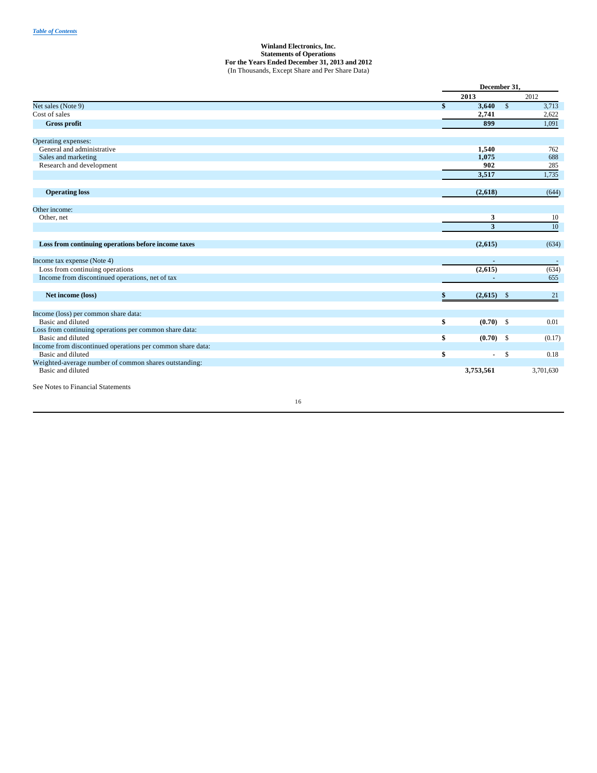## **Winland Electronics, Inc. Statements of Operations For the Years Ended December 31, 2013 and 2012** (In Thousands, Except Share and Per Share Data)

|                                                            |                      | December 31,          |
|------------------------------------------------------------|----------------------|-----------------------|
|                                                            | 2013                 | 2012                  |
| Net sales (Note 9)                                         | \$<br>3,640          | $\mathbb{S}$<br>3,713 |
| Cost of sales                                              | 2,741                | 2,622                 |
| Gross profit                                               | 899                  | 1,091                 |
| Operating expenses:                                        |                      |                       |
| General and administrative                                 | 1,540                | 762                   |
| Sales and marketing                                        | 1,075                | 688                   |
| Research and development                                   | 902                  | 285                   |
|                                                            | 3,517                | 1,735                 |
| <b>Operating loss</b>                                      | (2,618)              | (644)                 |
|                                                            |                      |                       |
| Other income:                                              |                      |                       |
| Other, net                                                 | 3<br>3               | 10<br>10              |
|                                                            |                      |                       |
| Loss from continuing operations before income taxes        | (2,615)              | (634)                 |
| Income tax expense (Note 4)                                | ٠                    |                       |
| Loss from continuing operations                            | (2,615)              | (634)                 |
| Income from discontinued operations, net of tax            |                      | 655                   |
| Net income (loss)                                          | (2,615)<br>\$        | 21<br>$^{\circ}$      |
| Income (loss) per common share data:                       |                      |                       |
| Basic and diluted                                          | \$<br>$(0.70)$ \$    | 0.01                  |
| Loss from continuing operations per common share data:     |                      |                       |
| Basic and diluted                                          | \$<br>$(0.70)$ \$    | (0.17)                |
| Income from discontinued operations per common share data: |                      |                       |
| Basic and diluted                                          | \$<br>$\overline{a}$ | $\mathcal{S}$<br>0.18 |
| Weighted-average number of common shares outstanding:      |                      |                       |
| Basic and diluted                                          | 3,753,561            | 3,701,630             |
| See Notes to Financial Statements                          |                      |                       |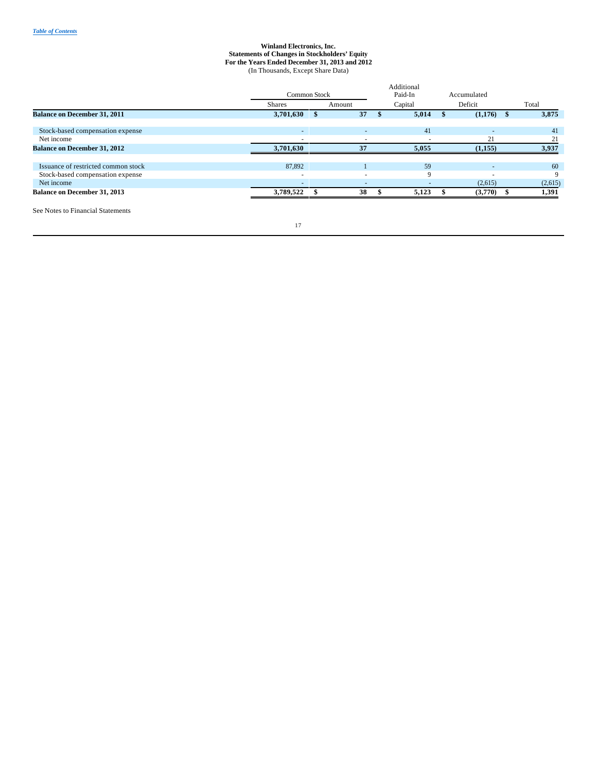#### **Winland Electronics, Inc. Statements of Changes in Stockholders' Equity For the Years Ended December 31, 2013 and 2012** (In Thousands, Except Share Data)

|                                     | <b>Common Stock</b>      |        | Additional<br>Paid-In    | Accumulated              |         |
|-------------------------------------|--------------------------|--------|--------------------------|--------------------------|---------|
|                                     | <b>Shares</b>            | Amount | Capital                  | Deficit                  | Total   |
| <b>Balance on December 31, 2011</b> | 3,701,630                | 37     | 5,014                    | $(1,176)$ \$             | 3,875   |
| Stock-based compensation expense    | ٠                        | ۰      | 41                       | $\overline{\phantom{a}}$ | 41      |
| Net income                          |                          |        |                          | 21                       | 21      |
| <b>Balance on December 31, 2012</b> | 3,701,630                | 37     | 5,055                    | (1,155)                  | 3,937   |
| Issuance of restricted common stock | 87,892                   |        | 59                       |                          | 60      |
| Stock-based compensation expense    | $\overline{\phantom{a}}$ |        | Q                        |                          | 9       |
| Net income                          | $\overline{\phantom{a}}$ | ۰      | $\overline{\phantom{a}}$ | (2,615)                  | (2,615) |
| <b>Balance on December 31, 2013</b> | 3,789,522                | 38     | 5,123                    | (3,770)                  | 1,391   |
| _____                               |                          |        |                          |                          |         |

See Notes to Financial Statements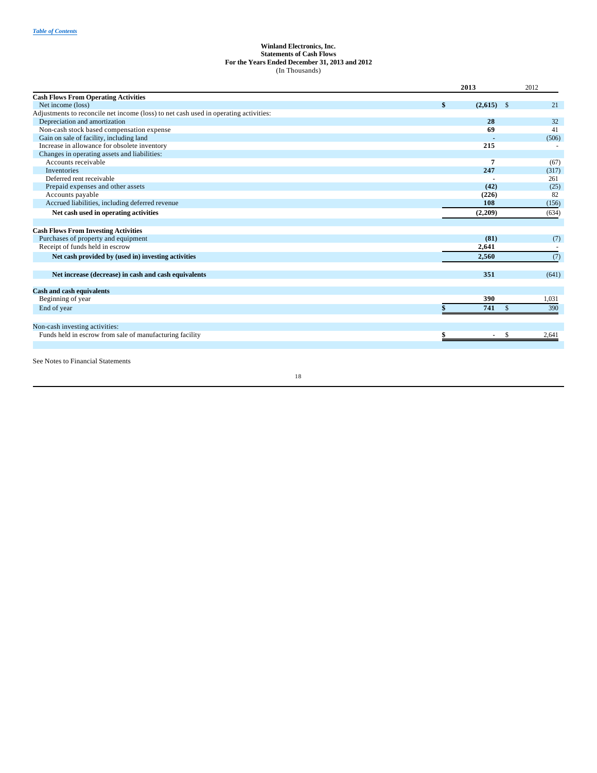## **Winland Electronics, Inc. Statements of Cash Flows For the Years Ended December 31, 2013 and 2012** (In Thousands)

|                                                                                      | 2013          |              | 2012  |
|--------------------------------------------------------------------------------------|---------------|--------------|-------|
| <b>Cash Flows From Operating Activities</b>                                          |               |              |       |
| Net income (loss)                                                                    | \$<br>(2,615) | $\mathbb{S}$ | 21    |
| Adjustments to reconcile net income (loss) to net cash used in operating activities: |               |              |       |
| Depreciation and amortization                                                        | 28            |              | 32    |
| Non-cash stock based compensation expense                                            | 69            |              | 41    |
| Gain on sale of facility, including land                                             |               |              | (506) |
| Increase in allowance for obsolete inventory                                         | 215           |              |       |
| Changes in operating assets and liabilities:                                         |               |              |       |
| Accounts receivable                                                                  |               |              | (67)  |
| Inventories                                                                          | 247           |              | (317) |
| Deferred rent receivable                                                             |               |              | 261   |
| Prepaid expenses and other assets                                                    | (42)          |              | (25)  |
| Accounts payable                                                                     | (226)         |              | 82    |
| Accrued liabilities, including deferred revenue                                      | 108           |              | (156) |
| Net cash used in operating activities                                                | (2,209)       |              | (634) |
| <b>Cash Flows From Investing Activities</b>                                          |               |              |       |
| Purchases of property and equipment                                                  | (81)          |              | (7)   |
| Receipt of funds held in escrow                                                      | 2,641         |              |       |
|                                                                                      | 2.560         |              |       |
| Net cash provided by (used in) investing activities                                  |               |              | (7)   |
| Net increase (decrease) in cash and cash equivalents                                 | 351           |              | (641) |
| <b>Cash and cash equivalents</b>                                                     |               |              |       |
| Beginning of year                                                                    | 390           |              | 1,031 |
| End of year                                                                          | 741           | $\mathbb{S}$ | 390   |
|                                                                                      |               |              |       |
| Non-cash investing activities:                                                       |               |              |       |
| Funds held in escrow from sale of manufacturing facility                             | ٠             | \$           | 2,641 |

See Notes to Financial Statements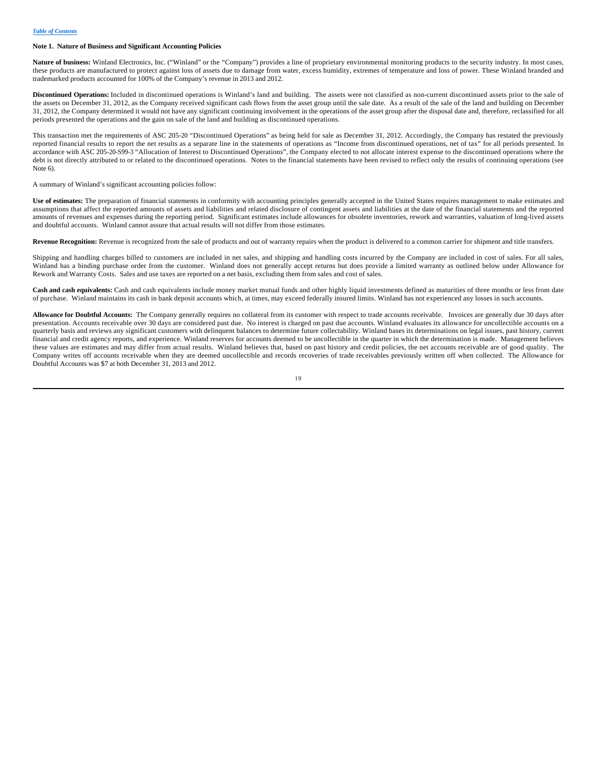#### **Note 1. Nature of Business and Significant Accounting Policies**

Nature of business: Winland Electronics, Inc. ("Winland" or the "Company") provides a line of proprietary environmental monitoring products to the security industry. In most cases, these products are manufactured to protect against loss of assets due to damage from water, excess humidity, extremes of temperature and loss of power. These Winland branded and trademarked products accounted for 100% of the Company's revenue in 2013 and 2012.

**Discontinued Operations:** Included in discontinued operations is Winland's land and building. The assets were not classified as non-current discontinued assets prior to the sale of the assets on December 31, 2012, as the Company received significant cash flows from the asset group until the sale date. As a result of the sale of the land and building on December 31, 2012, the Company determined it would not have any significant continuing involvement in the operations of the asset group after the disposal date and, therefore, reclassified for all periods presented the operations and the gain on sale of the land and building as discontinued operations.

This transaction met the requirements of ASC 205-20 "Discontinued Operations" as being held for sale as December 31, 2012. Accordingly, the Company has restated the previously reported financial results to report the net results as a separate line in the statements of operations as "Income from discontinued operations, net of tax" for all periods presented. In accordance with ASC 205-20-S99-3 "Allocation of Interest to Discontinued Operations", the Company elected to not allocate interest expense to the discontinued operations where the debt is not directly attributed to or related to the discontinued operations. Notes to the financial statements have been revised to reflect only the results of continuing operations (see Note 6).

A summary of Winland's significant accounting policies follow:

**Use of estimates:** The preparation of financial statements in conformity with accounting principles generally accepted in the United States requires management to make estimates and assumptions that affect the reported amounts of assets and liabilities and related disclosure of contingent assets and liabilities at the date of the financial statements and the reported amounts of revenues and expenses during the reporting period. Significant estimates include allowances for obsolete inventories, rework and warranties, valuation of long-lived assets and doubtful accounts. Winland cannot assure that actual results will not differ from those estimates.

**Revenue Recognition:** Revenue is recognized from the sale of products and out of warranty repairs when the product is delivered to a common carrier for shipment and title transfers.

Shipping and handling charges billed to customers are included in net sales, and shipping and handling costs incurred by the Company are included in cost of sales. For all sales, Winland has a binding purchase order from the customer. Winland does not generally accept returns but does provide a limited warranty as outlined below under Allowance for Rework and Warranty Costs. Sales and use taxes are reported on a net basis, excluding them from sales and cost of sales.

**Cash and cash equivalents:** Cash and cash equivalents include money market mutual funds and other highly liquid investments defined as maturities of three months or less from date of purchase. Winland maintains its cash in bank deposit accounts which, at times, may exceed federally insured limits. Winland has not experienced any losses in such accounts.

**Allowance for Doubtful Accounts:** The Company generally requires no collateral from its customer with respect to trade accounts receivable. Invoices are generally due 30 days after presentation. Accounts receivable over 30 days are considered past due. No interest is charged on past due accounts. Winland evaluates its allowance for uncollectible accounts on a quarterly basis and reviews any significant customers with delinquent balances to determine future collectability. Winland bases its determinations on legal issues, past history, current financial and credit agency reports, and experience. Winland reserves for accounts deemed to be uncollectible in the quarter in which the determination is made. Management believes these values are estimates and may differ from actual results. Winland believes that, based on past history and credit policies, the net accounts receivable are of good quality. The Company writes off accounts receivable when they are deemed uncollectible and records recoveries of trade receivables previously written off when collected. The Allowance for Doubtful Accounts was \$7 at both December 31, 2013 and 2012.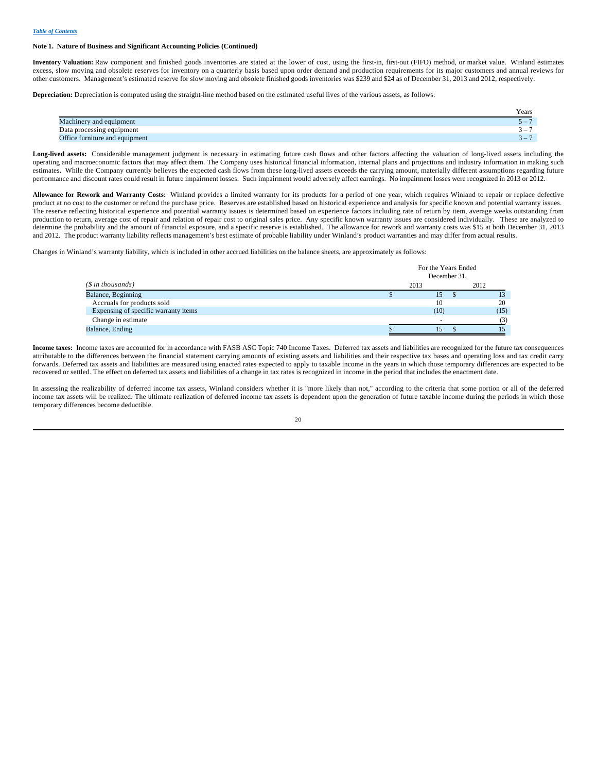#### **Note 1. Nature of Business and Significant Accounting Policies (Continued)**

**Inventory Valuation:** Raw component and finished goods inventories are stated at the lower of cost, using the first-in, first-out (FIFO) method, or market value. Winland estimates excess, slow moving and obsolete reserves for inventory on a quarterly basis based upon order demand and production requirements for its major customers and annual reviews for other customers. Management's estimated reserve for slow moving and obsolete finished goods inventories was \$239 and \$24 as of December 31, 2013 and 2012, respectively.

**Depreciation:** Depreciation is computed using the straight-line method based on the estimated useful lives of the various assets, as follows:

|                                | Years                    |
|--------------------------------|--------------------------|
| Machinery and equipment        | $\overline{\phantom{0}}$ |
| Data processing equipment      | $\overline{\phantom{0}}$ |
| Office furniture and equipment | $\sim$<br>$\mathbf{I}$   |

Long-lived assets: Considerable management judgment is necessary in estimating future cash flows and other factors affecting the valuation of long-lived assets including the operating and macroeconomic factors that may affect them. The Company uses historical financial information, internal plans and projections and industry information in making such estimates. While the Company currently believes the expected cash flows from these long-lived assets exceeds the carrying amount, materially different assumptions regarding future performance and discount rates could result in future impairment losses. Such impairment would adversely affect earnings. No impairment losses were recognized in 2013 or 2012.

**Allowance for Rework and Warranty Costs:** Winland provides a limited warranty for its products for a period of one year, which requires Winland to repair or replace defective product at no cost to the customer or refund the purchase price. Reserves are established based on historical experience and analysis for specific known and potential warranty issues. The reserve reflecting historical experience and potential warranty issues is determined based on experience factors including rate of return by item, average weeks outstanding from production to return, average cost of repair and relation of repair cost to original sales price. Any specific known warranty issues are considered individually. These are analyzed to determine the probability and the amount of financial exposure, and a specific reserve is established. The allowance for rework and warranty costs was \$15 at both December 31, 2013 and 2012. The product warranty liability reflects management's best estimate of probable liability under Winland's product warranties and may differ from actual results.

Changes in Winland's warranty liability, which is included in other accrued liabilities on the balance sheets, are approximately as follows:

|                                      | For the Years Ended<br>December 31, |      |
|--------------------------------------|-------------------------------------|------|
| $(S \in \mathcal{S})$ in thousands)  | 2013                                | 2012 |
| Balance, Beginning                   | 15                                  |      |
| Accruals for products sold           | 10                                  | 20   |
| Expensing of specific warranty items | (10)                                | (15) |
| Change in estimate                   |                                     | (3)  |
| Balance, Ending                      | כו                                  |      |

**Income taxes:** Income taxes are accounted for in accordance with FASB ASC Topic 740 Income Taxes. Deferred tax assets and liabilities are recognized for the future tax consequences attributable to the differences between the financial statement carrying amounts of existing assets and liabilities and their respective tax bases and operating loss and tax credit carry forwards. Deferred tax assets and liabilities are measured using enacted rates expected to apply to taxable income in the years in which those temporary differences are expected to be recovered or settled. The effect on deferred tax assets and liabilities of a change in tax rates is recognized in income in the period that includes the enactment date.

In assessing the realizability of deferred income tax assets, Winland considers whether it is "more likely than not," according to the criteria that some portion or all of the deferred income tax assets will be realized. The ultimate realization of deferred income tax assets is dependent upon the generation of future taxable income during the periods in which those temporary differences become deductible.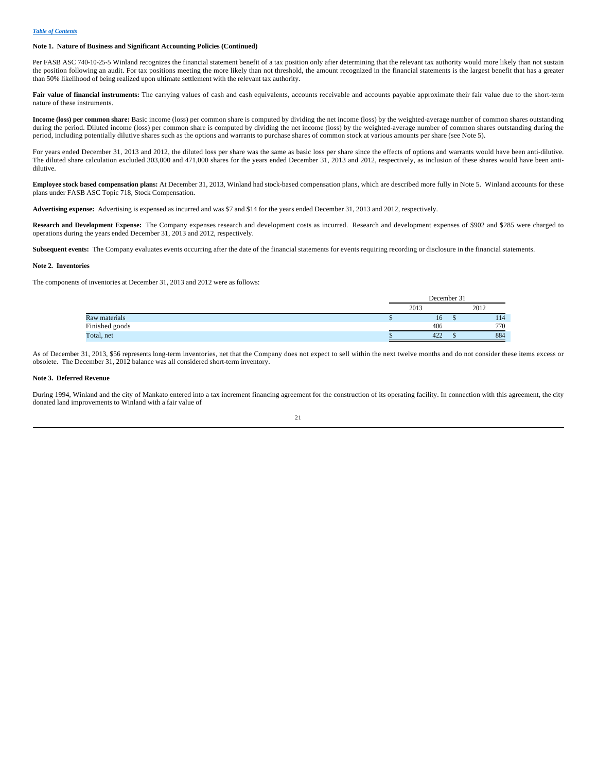#### **Note 1. Nature of Business and Significant Accounting Policies (Continued)**

Per FASB ASC 740-10-25-5 Winland recognizes the financial statement benefit of a tax position only after determining that the relevant tax authority would more likely than not sustain the position following an audit. For tax positions meeting the more likely than not threshold, the amount recognized in the financial statements is the largest benefit that has a greater than 50% likelihood of being realized upon ultimate settlement with the relevant tax authority.

Fair value of financial instruments: The carrying values of cash and cash equivalents, accounts receivable and accounts payable approximate their fair value due to the short-term nature of these instruments.

**Income (loss) per common share:** Basic income (loss) per common share is computed by dividing the net income (loss) by the weighted-average number of common shares outstanding during the period. Diluted income (loss) per common share is computed by dividing the net income (loss) by the weighted-average number of common shares outstanding during the period, including potentially dilutive shares such as the options and warrants to purchase shares of common stock at various amounts per share (see Note 5).

For years ended December 31, 2013 and 2012, the diluted loss per share was the same as basic loss per share since the effects of options and warrants would have been anti-dilutive. The diluted share calculation excluded 303,000 and 471,000 shares for the years ended December 31, 2013 and 2012, respectively, as inclusion of these shares would have been antidilutive.

**Employee stock based compensation plans:** At December 31, 2013, Winland had stock-based compensation plans, which are described more fully in Note 5. Winland accounts for these plans under FASB ASC Topic 718, Stock Compensation.

**Advertising expense:** Advertising is expensed as incurred and was \$7 and \$14 for the years ended December 31, 2013 and 2012, respectively.

**Research and Development Expense:** The Company expenses research and development costs as incurred. Research and development expenses of \$902 and \$285 were charged to operations during the years ended December 31, 2013 and 2012, respectively.

**Subsequent events:** The Company evaluates events occurring after the date of the financial statements for events requiring recording or disclosure in the financial statements.

#### **Note 2. Inventories**

The components of inventories at December 31, 2013 and 2012 were as follows:

|                |      | December 31 |  |      |     |  |
|----------------|------|-------------|--|------|-----|--|
|                | 2013 |             |  | 2012 |     |  |
| Raw materials  |      | 16.         |  |      | 114 |  |
| Finished goods |      | 406         |  |      | 770 |  |
| Total, net     |      | 422         |  |      | 884 |  |

As of December 31, 2013, \$56 represents long-term inventories, net that the Company does not expect to sell within the next twelve months and do not consider these items excess or obsolete. The December 31, 2012 balance was all considered short-term inventory.

#### **Note 3. Deferred Revenue**

During 1994, Winland and the city of Mankato entered into a tax increment financing agreement for the construction of its operating facility. In connection with this agreement, the city donated land improvements to Winland with a fair value of

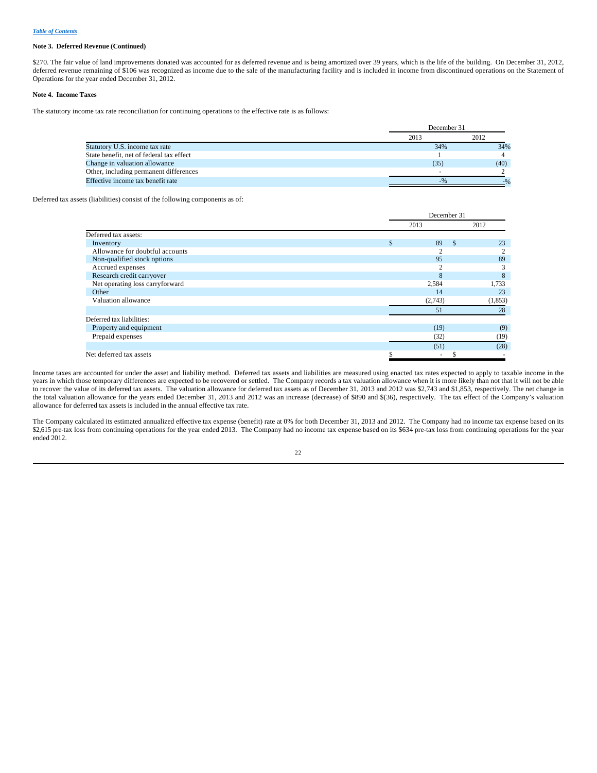#### **Note 3. Deferred Revenue (Continued)**

\$270. The fair value of land improvements donated was accounted for as deferred revenue and is being amortized over 39 years, which is the life of the building. On December 31, 2012, deferred revenue remaining of \$106 was recognized as income due to the sale of the manufacturing facility and is included in income from discontinued operations on the Statement of Operations for the year ended December 31, 2012.

## **Note 4. Income Taxes**

The statutory income tax rate reconciliation for continuing operations to the effective rate is as follows:

|                                          | December 31 |      |  |  |
|------------------------------------------|-------------|------|--|--|
|                                          | 2013        | 2012 |  |  |
| Statutory U.S. income tax rate           | 34%         | 34%  |  |  |
| State benefit, net of federal tax effect |             |      |  |  |
| Change in valuation allowance            | (35)        | (40) |  |  |
| Other, including permanent differences   |             |      |  |  |
| Effective income tax benefit rate        | $-9/0$      |      |  |  |

Deferred tax assets (liabilities) consist of the following components as of:

|                                 |               | December 31    |               |          |
|---------------------------------|---------------|----------------|---------------|----------|
|                                 |               | 2013           |               | 2012     |
| Deferred tax assets:            |               |                |               |          |
| Inventory                       | $\mathcal{S}$ | 89             | <sup>\$</sup> | 23       |
| Allowance for doubtful accounts |               | ↑              |               |          |
| Non-qualified stock options     |               | 95             |               | 89       |
| Accrued expenses                |               | $\overline{c}$ |               | 3        |
| Research credit carryover       |               | 8              |               | 8        |
| Net operating loss carryforward |               | 2,584          |               | 1,733    |
| Other                           |               | 14             |               | 23       |
| Valuation allowance             |               | (2,743)        |               | (1, 853) |
|                                 |               | 51             |               | 28       |
| Deferred tax liabilities:       |               |                |               |          |
| Property and equipment          |               | (19)           |               | (9)      |
| Prepaid expenses                |               | (32)           |               | (19)     |
|                                 |               | (51)           |               | (28)     |
| Net deferred tax assets         | \$            | ۰              | J.            |          |

Income taxes are accounted for under the asset and liability method. Deferred tax assets and liabilities are measured using enacted tax rates expected to apply to taxable income in the years in which those temporary differences are expected to be recovered or settled. The Company records a tax valuation allowance when it is more likely than not that it will not be able to recover the value of its deferred tax assets. The valuation allowance for deferred tax assets as of December 31, 2013 and 2012 was \$2,743 and \$1,853, respectively. The net change in the total valuation allowance for the years ended December 31, 2013 and 2012 was an increase (decrease) of \$890 and \$(36), respectively. The tax effect of the Company's valuation allowance for deferred tax assets is included in the annual effective tax rate.

The Company calculated its estimated annualized effective tax expense (benefit) rate at 0% for both December 31, 2013 and 2012. The Company had no income tax expense based on its \$2,615 pre-tax loss from continuing operations for the year ended 2013. The Company had no income tax expense based on its \$634 pre-tax loss from continuing operations for the year ended 2012.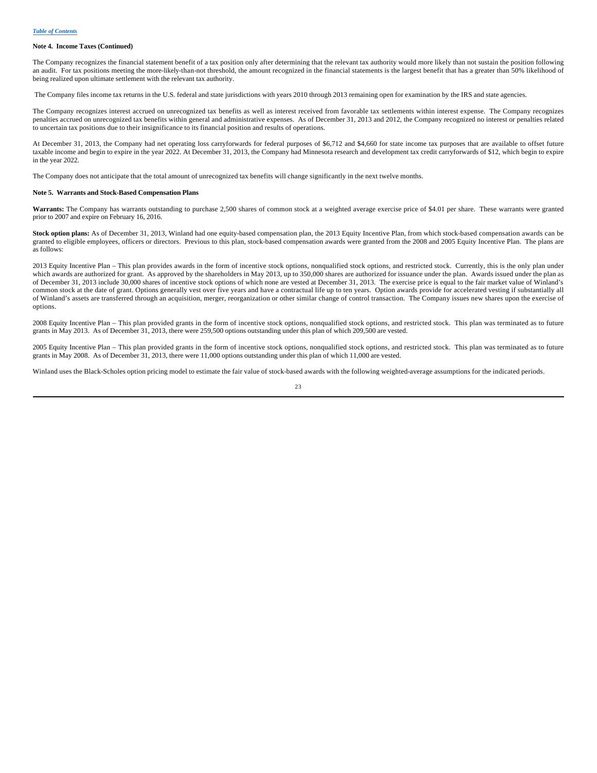#### **Note 4. Income Taxes (Continued)**

The Company recognizes the financial statement benefit of a tax position only after determining that the relevant tax authority would more likely than not sustain the position following an audit. For tax positions meeting the more-likely-than-not threshold, the amount recognized in the financial statements is the largest benefit that has a greater than 50% likelihood of being realized upon ultimate settlement with the relevant tax authority.

The Company files income tax returns in the U.S. federal and state jurisdictions with years 2010 through 2013 remaining open for examination by the IRS and state agencies.

The Company recognizes interest accrued on unrecognized tax benefits as well as interest received from favorable tax settlements within interest expense. The Company recognizes penalties accrued on unrecognized tax benefits within general and administrative expenses. As of December 31, 2013 and 2012, the Company recognized no interest or penalties related to uncertain tax positions due to their insignificance to its financial position and results of operations.

At December 31, 2013, the Company had net operating loss carryforwards for federal purposes of \$6,712 and \$4,660 for state income tax purposes that are available to offset future taxable income and begin to expire in the year 2022. At December 31, 2013, the Company had Minnesota research and development tax credit carryforwards of \$12, which begin to expire in the year 2022.

The Company does not anticipate that the total amount of unrecognized tax benefits will change significantly in the next twelve months.

#### **Note 5. Warrants and Stock-Based Compensation Plans**

Warrants: The Company has warrants outstanding to purchase 2,500 shares of common stock at a weighted average exercise price of \$4.01 per share. These warrants were granted prior to 2007 and expire on February 16, 2016.

**Stock option plans:** As of December 31, 2013, Winland had one equity-based compensation plan, the 2013 Equity Incentive Plan, from which stock-based compensation awards can be granted to eligible employees, officers or directors. Previous to this plan, stock-based compensation awards were granted from the 2008 and 2005 Equity Incentive Plan. The plans are as follows:

2013 Equity Incentive Plan – This plan provides awards in the form of incentive stock options, nonqualified stock options, and restricted stock. Currently, this is the only plan under which awards are authorized for grant. As approved by the shareholders in May 2013, up to 350,000 shares are authorized for issuance under the plan. Awards issued under the plan as of December 31, 2013 include 30,000 shares of incentive stock options of which none are vested at December 31, 2013. The exercise price is equal to the fair market value of Winland's common stock at the date of grant. Options generally vest over five years and have a contractual life up to ten years. Option awards provide for accelerated vesting if substantially all of Winland's assets are transferred through an acquisition, merger, reorganization or other similar change of control transaction. The Company issues new shares upon the exercise of options.

2008 Equity Incentive Plan – This plan provided grants in the form of incentive stock options, nonqualified stock options, and restricted stock. This plan was terminated as to future grants in May 2013. As of December 31, 2013, there were 259,500 options outstanding under this plan of which 209,500 are vested.

2005 Equity Incentive Plan – This plan provided grants in the form of incentive stock options, nonqualified stock options, and restricted stock. This plan was terminated as to future grants in May 2008. As of December 31, 2013, there were 11,000 options outstanding under this plan of which 11,000 are vested.

Winland uses the Black-Scholes option pricing model to estimate the fair value of stock-based awards with the following weighted-average assumptions for the indicated periods.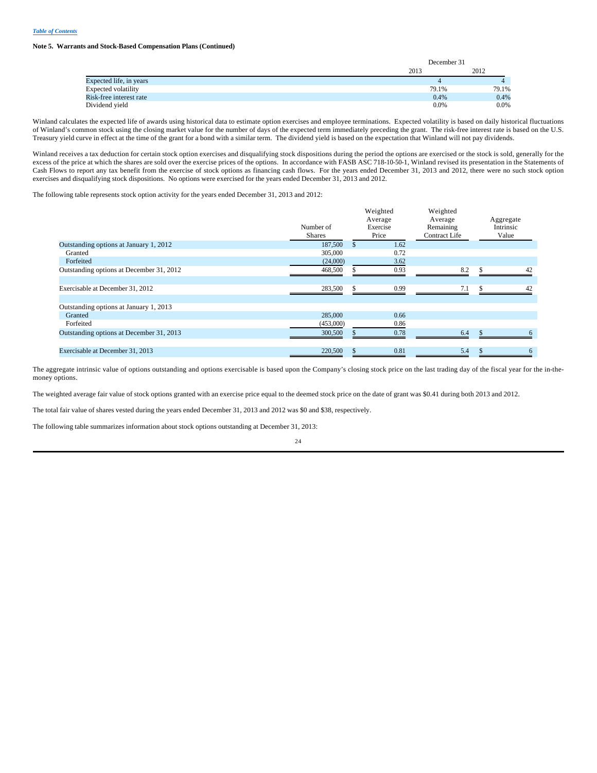#### **Note 5. Warrants and Stock-Based Compensation Plans (Continued)**

|                         | December 31 |         |  |
|-------------------------|-------------|---------|--|
|                         | 2013        | 2012    |  |
| Expected life, in years |             |         |  |
| Expected volatility     | 79.1%       | 79.1%   |  |
| Risk-free interest rate | 0.4%        | 0.4%    |  |
| Dividend vield          | 0.0%        | $0.0\%$ |  |

Winland calculates the expected life of awards using historical data to estimate option exercises and employee terminations. Expected volatility is based on daily historical fluctuations of Winland's common stock using the closing market value for the number of days of the expected term immediately preceding the grant. The risk-free interest rate is based on the U.S. Treasury yield curve in effect at the time of the grant for a bond with a similar term. The dividend yield is based on the expectation that Winland will not pay dividends.

Winland receives a tax deduction for certain stock option exercises and disqualifying stock dispositions during the period the options are exercised or the stock is sold, generally for the excess of the price at which the shares are sold over the exercise prices of the options. In accordance with FASB ASC 718-10-50-1, Winland revised its presentation in the Statements of Cash Flows to report any tax benefit from the exercise of stock options as financing cash flows. For the years ended December 31, 2013 and 2012, there were no such stock option exercises and disqualifying stock dispositions. No options were exercised for the years ended December 31, 2013 and 2012.

 $\cdots$ 

 $\cdots$ 

The following table represents stock option activity for the years ended December 31, 2013 and 2012:

|                                          | Number of<br><b>Shares</b> | Weighted<br>Average<br>Exercise<br>Price | Weighted<br>Average<br>Remaining<br><b>Contract Life</b> |   | Aggregate<br>Intrinsic<br>Value |
|------------------------------------------|----------------------------|------------------------------------------|----------------------------------------------------------|---|---------------------------------|
| Outstanding options at January 1, 2012   | 187,500                    | 1.62                                     |                                                          |   |                                 |
| Granted                                  | 305,000                    | 0.72                                     |                                                          |   |                                 |
| Forfeited                                | (24,000)                   | 3.62                                     |                                                          |   |                                 |
| Outstanding options at December 31, 2012 | 468,500                    | 0.93                                     | 8.2                                                      |   | 42                              |
| Exercisable at December 31, 2012         | 283,500                    | 0.99                                     | 7.1                                                      | S | 42                              |
| Outstanding options at January 1, 2013   |                            |                                          |                                                          |   |                                 |
| Granted                                  | 285,000                    | 0.66                                     |                                                          |   |                                 |
| Forfeited                                | (453,000)                  | 0.86                                     |                                                          |   |                                 |
| Outstanding options at December 31, 2013 | 300,500                    | 0.78                                     | 6.4                                                      |   | 6                               |
| Exercisable at December 31, 2013         | 220,500                    | 0.81                                     | 5.4                                                      |   | 6                               |

The aggregate intrinsic value of options outstanding and options exercisable is based upon the Company's closing stock price on the last trading day of the fiscal year for the in-themoney options.

The weighted average fair value of stock options granted with an exercise price equal to the deemed stock price on the date of grant was \$0.41 during both 2013 and 2012.

The total fair value of shares vested during the years ended December 31, 2013 and 2012 was \$0 and \$38, respectively.

The following table summarizes information about stock options outstanding at December 31, 2013: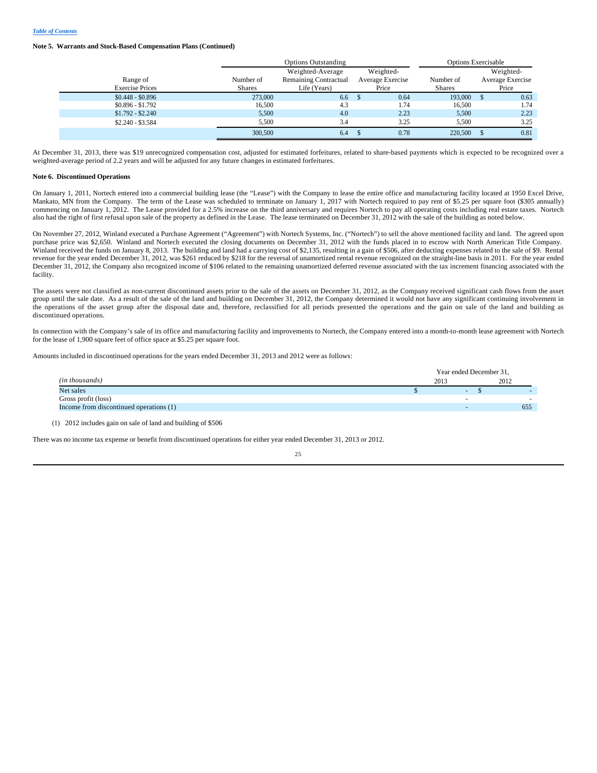#### **Note 5. Warrants and Stock-Based Compensation Plans (Continued)**

|                        |               | <b>Options Outstanding</b>   |                  | <b>Options Exercisable</b> |                  |
|------------------------|---------------|------------------------------|------------------|----------------------------|------------------|
|                        |               | Weighted-Average             | Weighted-        |                            | Weighted-        |
| Range of               | Number of     | <b>Remaining Contractual</b> | Average Exercise | Number of                  | Average Exercise |
| <b>Exercise Prices</b> | <b>Shares</b> | Life (Years)                 | Price            | <b>Shares</b>              | Price            |
| $$0,448 - $0,896$      | 273,000       | 6.6                          | 0.64             | 193,000                    | 0.63             |
| $$0.896 - $1.792$      | 16,500        | 4.3                          | 1.74             | 16.500                     | 1.74             |
| $$1.792 - $2.240$      | 5,500         | 4.0                          | 2.23             | 5,500                      | 2.23             |
| \$2.240 - \$3.584      | 5.500         | 3.4                          | 3.25             | 5.500                      | 3.25             |
|                        | 300,500       | 6.4                          | 0.78             | 220,500                    | 0.81             |

At December 31, 2013, there was \$19 unrecognized compensation cost, adjusted for estimated forfeitures, related to share-based payments which is expected to be recognized over a weighted-average period of 2.2 years and will be adjusted for any future changes in estimated forfeitures.

#### **Note 6. Discontinued Operations**

On January 1, 2011, Nortech entered into a commercial building lease (the "Lease") with the Company to lease the entire office and manufacturing facility located at 1950 Excel Drive, Mankato, MN from the Company. The term of the Lease was scheduled to terminate on January 1, 2017 with Nortech required to pay rent of \$5.25 per square foot (\$305 annually) commencing on January 1, 2012. The Lease provided for a 2.5% increase on the third anniversary and requires Nortech to pay all operating costs including real estate taxes. Nortech also had the right of first refusal upon sale of the property as defined in the Lease. The lease terminated on December 31, 2012 with the sale of the building as noted below.

On November 27, 2012, Winland executed a Purchase Agreement ("Agreement") with Nortech Systems, Inc. ("Nortech") to sell the above mentioned facility and land. The agreed upon purchase price was \$2,650. Winland and Nortech executed the closing documents on December 31, 2012 with the funds placed in to escrow with North American Title Company. Winland received the funds on January 8, 2013. The building and land had a carrying cost of \$2,135, resulting in a gain of \$506, after deducting expenses related to the sale of \$9. Rental revenue for the year ended December 31, 2012, was \$261 reduced by \$218 for the reversal of unamortized rental revenue recognized on the straight-line basis in 2011. For the year ended December 31, 2012, the Company also recognized income of \$106 related to the remaining unamortized deferred revenue associated with the tax increment financing associated with the facility.

The assets were not classified as non-current discontinued assets prior to the sale of the assets on December 31, 2012, as the Company received significant cash flows from the asset group until the sale date. As a result of the sale of the land and building on December 31, 2012, the Company determined it would not have any significant continuing involvement in the operations of the asset group after the disposal date and, therefore, reclassified for all periods presented the operations and the gain on sale of the land and building as discontinued operations.

In connection with the Company's sale of its office and manufacturing facility and improvements to Nortech, the Company entered into a month-to-month lease agreement with Nortech for the lease of 1,900 square feet of office space at \$5.25 per square foot.

Amounts included in discontinued operations for the years ended December 31, 2013 and 2012 were as follows:

|                                         |      | Year ended December 31, |      |  |
|-----------------------------------------|------|-------------------------|------|--|
| (in thousands)                          | 2013 |                         | 2012 |  |
| Net sales                               |      | -                       |      |  |
| Gross profit (loss)                     |      |                         |      |  |
| Income from discontinued operations (1) |      |                         | 655  |  |
|                                         |      |                         |      |  |

(1) 2012 includes gain on sale of land and building of \$506

There was no income tax expense or benefit from discontinued operations for either year ended December 31, 2013 or 2012.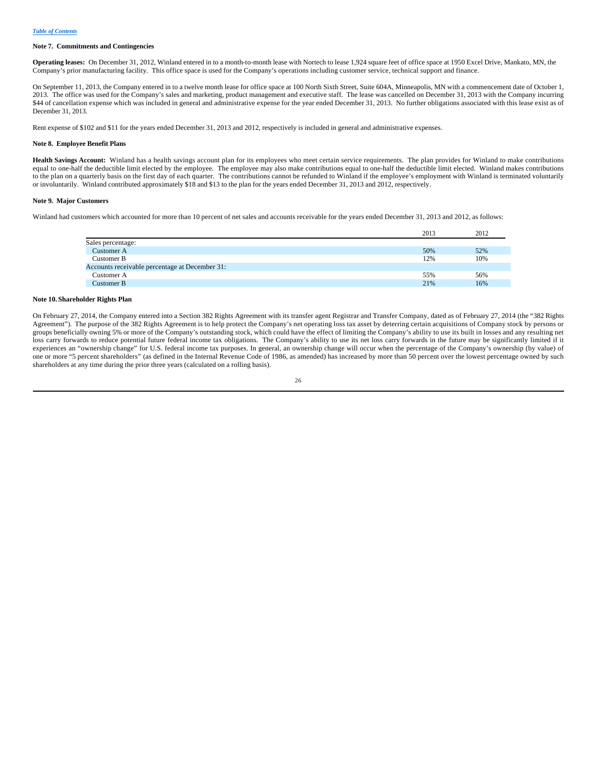#### **Note 7. Commitments and Contingencies**

**Operating leases:** On December 31, 2012, Winland entered in to a month-to-month lease with Nortech to lease 1,924 square feet of office space at 1950 Excel Drive, Mankato, MN, the Company's prior manufacturing facility. This office space is used for the Company's operations including customer service, technical support and finance.

On September 11, 2013, the Company entered in to a twelve month lease for office space at 100 North Sixth Street, Suite 604A, Minneapolis, MN with a commencement date of October 1, 2013. The office was used for the Company's sales and marketing, product management and executive staff. The lease was cancelled on December 31, 2013 with the Company incurring \$44 of cancellation expense which was included in general and administrative expense for the year ended December 31, 2013. No further obligations associated with this lease exist as of December 31, 2013.

Rent expense of \$102 and \$11 for the years ended December 31, 2013 and 2012, respectively is included in general and administrative expenses.

## **Note 8. Employee Benefit Plans**

**Health Savings Account:** Winland has a health savings account plan for its employees who meet certain service requirements. The plan provides for Winland to make contributions equal to one-half the deductible limit elected by the employee. The employee may also make contributions equal to one-half the deductible limit elected. Winland makes contributions to the plan on a quarterly basis on the first day of each quarter. The contributions cannot be refunded to Winland if the employee's employment with Winland is terminated voluntarily or involuntarily. Winland contributed approximately \$18 and \$13 to the plan for the years ended December 31, 2013 and 2012, respectively.

#### **Note 9. Major Customers**

Winland had customers which accounted for more than 10 percent of net sales and accounts receivable for the years ended December 31, 2013 and 2012, as follows:

|                                                | 2013 | 2012 |
|------------------------------------------------|------|------|
| Sales percentage:                              |      |      |
| Customer A                                     | 50%  | 52%  |
| Customer B                                     | 12%  | 10%  |
| Accounts receivable percentage at December 31: |      |      |
| Customer A                                     | 55%  | 56%  |
| Customer B                                     | 21%  | 16%  |

## **Note 10. Shareholder Rights Plan**

On February 27, 2014, the Company entered into a Section 382 Rights Agreement with its transfer agent Registrar and Transfer Company, dated as of February 27, 2014 (the "382 Rights Agreement"). The purpose of the 382 Rights Agreement is to help protect the Company's net operating loss tax asset by deterring certain acquisitions of Company stock by persons or groups beneficially owning 5% or more of the Company's outstanding stock, which could have the effect of limiting the Company's ability to use its built in losses and any resulting net loss carry forwards to reduce potential future federal income tax obligations. The Company's ability to use its net loss carry forwards in the future may be significantly limited if it experiences an "ownership change" for U.S. federal income tax purposes. In general, an ownership change will occur when the percentage of the Company's ownership (by value) of one or more "5 percent shareholders" (as defined in the Internal Revenue Code of 1986, as amended) has increased by more than 50 percent over the lowest percentage owned by such shareholders at any time during the prior three years (calculated on a rolling basis).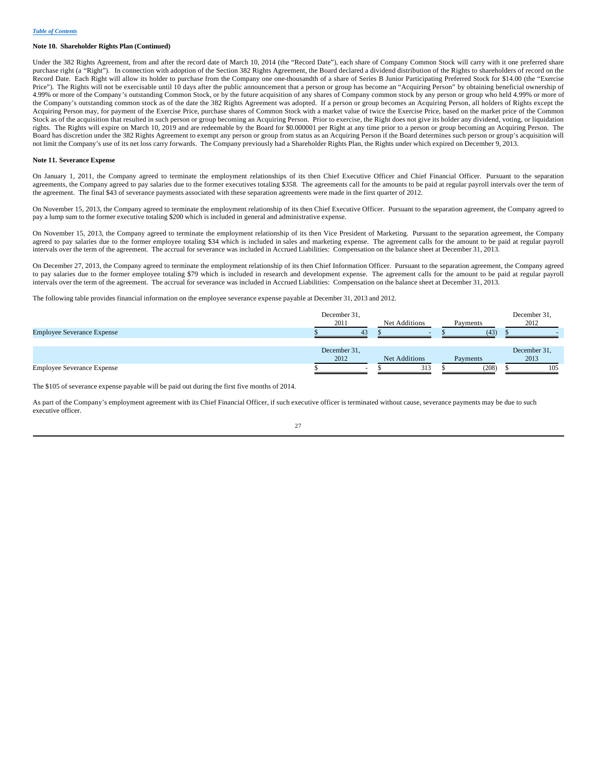#### **Note 10. Shareholder Rights Plan (Continued)**

Under the 382 Rights Agreement, from and after the record date of March 10, 2014 (the "Record Date"), each share of Company Common Stock will carry with it one preferred share purchase right (a "Right"). In connection with adoption of the Section 382 Rights Agreement, the Board declared a dividend distribution of the Rights to shareholders of record on the Record Date. Each Right will allow its holder to purchase from the Company one one-thousandth of a share of Series B Junior Participating Preferred Stock for \$14.00 (the "Exercise Price"). The Rights will not be exercisable until 10 days after the public announcement that a person or group has become an "Acquiring Person" by obtaining beneficial ownership of 4.99% or more of the Company's outstanding Common Stock, or by the future acquisition of any shares of Company common stock by any person or group who held 4.99% or more of the Company's outstanding common stock as of the date the 382 Rights Agreement was adopted. If a person or group becomes an Acquiring Person, all holders of Rights except the Acquiring Person may, for payment of the Exercise Price, purchase shares of Common Stock with a market value of twice the Exercise Price, based on the market price of the Common Stock as of the acquisition that resulted in such person or group becoming an Acquiring Person. Prior to exercise, the Right does not give its holder any dividend, voting, or liquidation rights. The Rights will expire on March 10, 2019 and are redeemable by the Board for \$0.000001 per Right at any time prior to a person or group becoming an Acquiring Person. The Board has discretion under the 382 Rights Agreement to exempt any person or group from status as an Acquiring Person if the Board determines such person or group's acquisition will not limit the Company's use of its net loss carry forwards. The Company previously had a Shareholder Rights Plan, the Rights under which expired on December 9, 2013.

## **Note 11. Severance Expense**

On January 1, 2011, the Company agreed to terminate the employment relationships of its then Chief Executive Officer and Chief Financial Officer. Pursuant to the separation agreements, the Company agreed to pay salaries due to the former executives totaling \$358. The agreements call for the amounts to be paid at regular payroll intervals over the term of the agreement. The final \$43 of severance payments associated with these separation agreements were made in the first quarter of 2012.

On November 15, 2013, the Company agreed to terminate the employment relationship of its then Chief Executive Officer. Pursuant to the separation agreement, the Company agreed to pay a lump sum to the former executive totaling \$200 which is included in general and administrative expense.

On November 15, 2013, the Company agreed to terminate the employment relationship of its then Vice President of Marketing. Pursuant to the separation agreement, the Company agreed to pay salaries due to the former employee totaling \$34 which is included in sales and marketing expense. The agreement calls for the amount to be paid at regular payroll intervals over the term of the agreement. The accrual for severance was included in Accrued Liabilities: Compensation on the balance sheet at December 31, 2013.

On December 27, 2013, the Company agreed to terminate the employment relationship of its then Chief Information Officer. Pursuant to the separation agreement, the Company agreed to pay salaries due to the former employee totaling \$79 which is included in research and development expense. The agreement calls for the amount to be paid at regular payroll intervals over the term of the agreement. The accrual for severance was included in Accrued Liabilities: Compensation on the balance sheet at December 31, 2013.

The following table provides financial information on the employee severance expense payable at December 31, 2013 and 2012.

|                                   | December 31,<br>2011 | Net Additions | Payments | December 31,<br>2012 |
|-----------------------------------|----------------------|---------------|----------|----------------------|
| <b>Employee Severance Expense</b> | 43                   |               | (43)     |                      |
|                                   | December 31,<br>2012 | Net Additions | Payments | December 31,<br>2013 |
| <b>Employee Severance Expense</b> |                      | 313           | (208)    | 105                  |

The \$105 of severance expense payable will be paid out during the first five months of 2014.

As part of the Company's employment agreement with its Chief Financial Officer, if such executive officer is terminated without cause, severance payments may be due to such executive officer.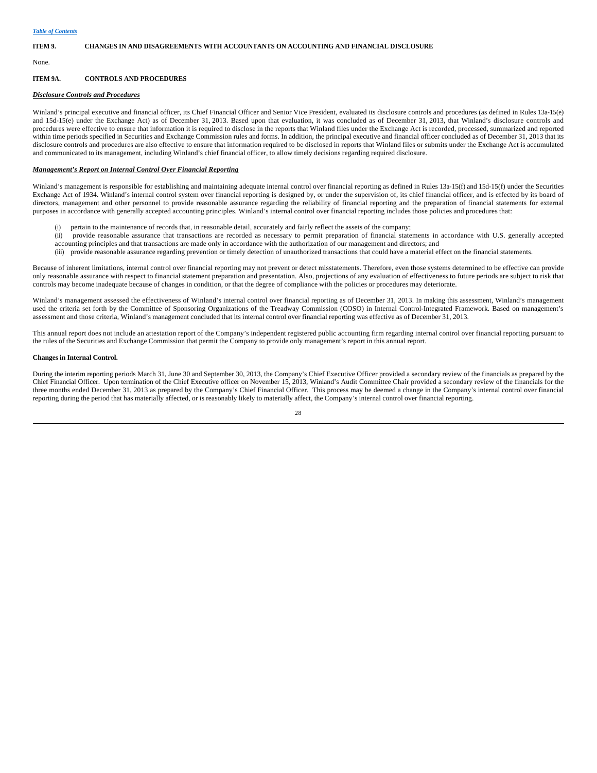#### **ITEM 9. CHANGES IN AND DISAGREEMENTS WITH ACCOUNTANTS ON ACCOUNTING AND FINANCIAL DISCLOSURE**

None.

## **ITEM 9A. CONTROLS AND PROCEDURES**

## *Disclosure Controls and Procedures*

Winland's principal executive and financial officer, its Chief Financial Officer and Senior Vice President, evaluated its disclosure controls and procedures (as defined in Rules 13a-15(e) and 15d-15(e) under the Exchange Act) as of December 31, 2013. Based upon that evaluation, it was concluded as of December 31, 2013, that Winland's disclosure controls and procedures were effective to ensure that information it is required to disclose in the reports that Winland files under the Exchange Act is recorded, processed, summarized and reported within time periods specified in Securities and Exchange Commission rules and forms. In addition, the principal executive and financial officer concluded as of December 31, 2013 that its disclosure controls and procedures are also effective to ensure that information required to be disclosed in reports that Winland files or submits under the Exchange Act is accumulated and communicated to its management, including Winland's chief financial officer, to allow timely decisions regarding required disclosure.

#### *Management's Report on Internal Control Over Financial Reporting*

Winland's management is responsible for establishing and maintaining adequate internal control over financial reporting as defined in Rules 13a-15(f) and 15d-15(f) under the Securities Exchange Act of 1934. Winland's internal control system over financial reporting is designed by, or under the supervision of, its chief financial officer, and is effected by its board of directors, management and other personnel to provide reasonable assurance regarding the reliability of financial reporting and the preparation of financial statements for external purposes in accordance with generally accepted accounting principles. Winland's internal control over financial reporting includes those policies and procedures that:

- (i) pertain to the maintenance of records that, in reasonable detail, accurately and fairly reflect the assets of the company;
- (ii) provide reasonable assurance that transactions are recorded as necessary to permit preparation of financial statements in accordance with U.S. generally accepted accounting principles and that transactions are made only in accordance with the authorization of our management and directors; and
	- (iii) provide reasonable assurance regarding prevention or timely detection of unauthorized transactions that could have a material effect on the financial statements.

Because of inherent limitations, internal control over financial reporting may not prevent or detect misstatements. Therefore, even those systems determined to be effective can provide only reasonable assurance with respect to financial statement preparation and presentation. Also, projections of any evaluation of effectiveness to future periods are subject to risk that controls may become inadequate because of changes in condition, or that the degree of compliance with the policies or procedures may deteriorate.

Winland's management assessed the effectiveness of Winland's internal control over financial reporting as of December 31, 2013. In making this assessment, Winland's management used the criteria set forth by the Committee of Sponsoring Organizations of the Treadway Commission (COSO) in Internal Control-Integrated Framework. Based on management's assessment and those criteria, Winland's management concluded that its internal control over financial reporting was effective as of December 31, 2013.

This annual report does not include an attestation report of the Company's independent registered public accounting firm regarding internal control over financial reporting pursuant to the rules of the Securities and Exchange Commission that permit the Company to provide only management's report in this annual report.

#### **Changes in Internal Control.**

During the interim reporting periods March 31, June 30 and September 30, 2013, the Company's Chief Executive Officer provided a secondary review of the financials as prepared by the Chief Financial Officer. Upon termination of the Chief Executive officer on November 15, 2013, Winland's Audit Committee Chair provided a secondary review of the financials for the three months ended December 31, 2013 as prepared by the Company's Chief Financial Officer. This process may be deemed a change in the Company's internal control over financial reporting during the period that has materially affected, or is reasonably likely to materially affect, the Company's internal control over financial reporting.

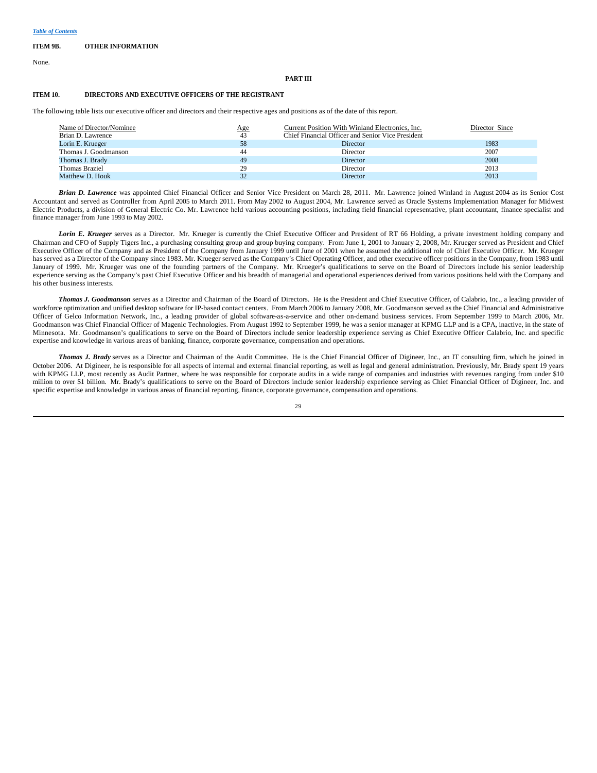#### **ITEM 9B. OTHER INFORMATION**

None.

#### **PART III**

## **ITEM 10. DIRECTORS AND EXECUTIVE OFFICERS OF THE REGISTRANT**

The following table lists our executive officer and directors and their respective ages and positions as of the date of this report.

| Name of Director/Nominee<br>Brian D. Lawrence | Age<br>43 | Current Position With Winland Electronics, Inc.<br>Chief Financial Officer and Senior Vice President | Director Since |
|-----------------------------------------------|-----------|------------------------------------------------------------------------------------------------------|----------------|
| Lorin E. Krueger                              | 58        | <b>Director</b>                                                                                      | 1983           |
| Thomas J. Goodmanson                          | 44        | Director                                                                                             | 2007           |
| Thomas J. Brady                               | 49        | Director                                                                                             | 2008           |
| Thomas Braziel                                | 29        | Director                                                                                             | 2013           |
| Matthew D. Houk                               | 32        | <b>Director</b>                                                                                      | 2013           |

*Brian D. Lawrence* was appointed Chief Financial Officer and Senior Vice President on March 28, 2011. Mr. Lawrence joined Winland in August 2004 as its Senior Cost Accountant and served as Controller from April 2005 to March 2011. From May 2002 to August 2004, Mr. Lawrence served as Oracle Systems Implementation Manager for Midwest Electric Products, a division of General Electric Co. Mr. Lawrence held various accounting positions, including field financial representative, plant accountant, finance specialist and finance manager from June 1993 to May 2002.

*Lorin E. Krueger* serves as a Director. Mr. Krueger is currently the Chief Executive Officer and President of RT 66 Holding, a private investment holding company and Chairman and CFO of Supply Tigers Inc., a purchasing consulting group and group buying company. From June 1, 2001 to January 2, 2008, Mr. Krueger served as President and Chief Executive Officer of the Company and as President of the Company from January 1999 until June of 2001 when he assumed the additional role of Chief Executive Officer. Mr. Krueger has served as a Director of the Company since 1983. Mr. Krueger served as the Company's Chief Operating Officer, and other executive officer positions in the Company, from 1983 until January of 1999. Mr. Krueger was one of the founding partners of the Company. Mr. Krueger's qualifications to serve on the Board of Directors include his senior leadership experience serving as the Company's past Chief Executive Officer and his breadth of managerial and operational experiences derived from various positions held with the Company and his other business interests.

*Thomas J. Goodmanson* serves as a Director and Chairman of the Board of Directors. He is the President and Chief Executive Officer, of Calabrio, Inc., a leading provider of workforce optimization and unified desktop software for IP-based contact centers. From March 2006 to January 2008, Mr. Goodmanson served as the Chief Financial and Administrative Officer of Gelco Information Network, Inc., a leading provider of global software-as-a-service and other on-demand business services. From September 1999 to March 2006, Mr. Goodmanson was Chief Financial Officer of Magenic Technologies. From August 1992 to September 1999, he was a senior manager at KPMG LLP and is a CPA, inactive, in the state of Minnesota. Mr. Goodmanson's qualifications to serve on the Board of Directors include senior leadership experience serving as Chief Executive Officer Calabrio, Inc. and specific expertise and knowledge in various areas of banking, finance, corporate governance, compensation and operations.

*Thomas J. Brady* serves as a Director and Chairman of the Audit Committee. He is the Chief Financial Officer of Digineer, Inc., an IT consulting firm, which he joined in October 2006. At Digineer, he is responsible for all aspects of internal and external financial reporting, as well as legal and general administration. Previously, Mr. Brady spent 19 years with KPMG LLP, most recently as Audit Partner, where he was responsible for corporate audits in a wide range of companies and industries with revenues ranging from under \$10 million to over \$1 billion. Mr. Brady's qualifications to serve on the Board of Directors include senior leadership experience serving as Chief Financial Officer of Digineer, Inc. and specific expertise and knowledge in various areas of financial reporting, finance, corporate governance, compensation and operations.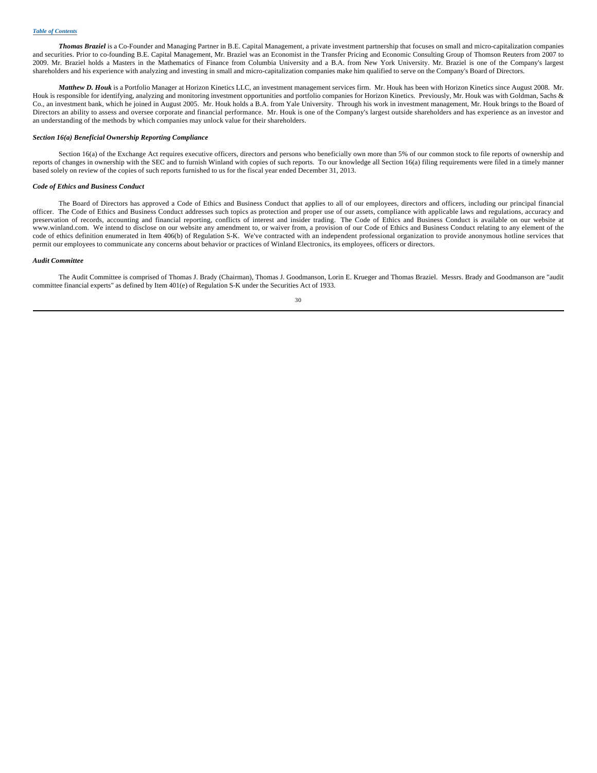*Thomas Braziel* is a Co-Founder and Managing Partner in B.E. Capital Management, a private investment partnership that focuses on small and micro-capitalization companies and securities. Prior to co-founding B.E. Capital Management, Mr. Braziel was an Economist in the Transfer Pricing and Economic Consulting Group of Thomson Reuters from 2007 to 2009. Mr. Braziel holds a Masters in the Mathematics of Finance from Columbia University and a B.A. from New York University. Mr. Braziel is one of the Company's largest shareholders and his experience with analyzing and investing in small and micro-capitalization companies make him qualified to serve on the Company's Board of Directors.

*Matthew D. Houk* is a Portfolio Manager at Horizon Kinetics LLC, an investment management services firm. Mr. Houk has been with Horizon Kinetics since August 2008. Mr. Houk is responsible for identifying, analyzing and monitoring investment opportunities and portfolio companies for Horizon Kinetics. Previously, Mr. Houk was with Goldman, Sachs & Co., an investment bank, which he joined in August 2005. Mr. Houk holds a B.A. from Yale University. Through his work in investment management, Mr. Houk brings to the Board of Directors an ability to assess and oversee corporate and financial performance. Mr. Houk is one of the Company's largest outside shareholders and has experience as an investor and an understanding of the methods by which companies may unlock value for their shareholders.

#### *Section 16(a) Beneficial Ownership Reporting Compliance*

Section 16(a) of the Exchange Act requires executive officers, directors and persons who beneficially own more than 5% of our common stock to file reports of ownership and reports of changes in ownership with the SEC and to furnish Winland with copies of such reports. To our knowledge all Section 16(a) filing requirements were filed in a timely manner based solely on review of the copies of such reports furnished to us for the fiscal year ended December 31, 2013.

## *Code of Ethics and Business Conduct*

The Board of Directors has approved a Code of Ethics and Business Conduct that applies to all of our employees, directors and officers, including our principal financial officer. The Code of Ethics and Business Conduct addresses such topics as protection and proper use of our assets, compliance with applicable laws and regulations, accuracy and preservation of records, accounting and financial reporting, conflicts of interest and insider trading. The Code of Ethics and Business Conduct is available on our website at www.winland.com. We intend to disclose on our website any amendment to, or waiver from, a provision of our Code of Ethics and Business Conduct relating to any element of the code of ethics definition enumerated in Item 406(b) of Regulation S-K. We've contracted with an independent professional organization to provide anonymous hotline services that permit our employees to communicate any concerns about behavior or practices of Winland Electronics, its employees, officers or directors.

#### *Audit Committee*

The Audit Committee is comprised of Thomas J. Brady (Chairman), Thomas J. Goodmanson, Lorin E. Krueger and Thomas Braziel. Messrs. Brady and Goodmanson are "audit committee financial experts" as defined by Item 401(e) of Regulation S-K under the Securities Act of 1933.

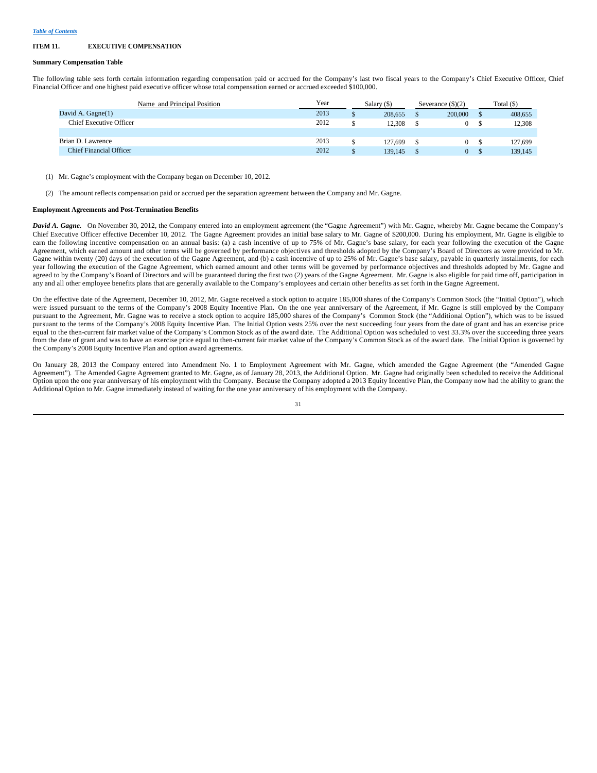#### **ITEM 11. EXECUTIVE COMPENSATION**

#### **Summary Compensation Table**

The following table sets forth certain information regarding compensation paid or accrued for the Company's last two fiscal years to the Company's Chief Executive Officer, Chief Financial Officer and one highest paid executive officer whose total compensation earned or accrued exceeded \$100,000.

| Name and Principal Position    | Year | Salary (\$) |         | Severance $(\$)(2)$ |         | Total $($ ) |         |
|--------------------------------|------|-------------|---------|---------------------|---------|-------------|---------|
| David A. Gagne(1)              | 2013 |             | 208,655 |                     | 200,000 |             | 408,655 |
| <b>Chief Executive Officer</b> | 2012 |             | 12.308  |                     |         |             | 12.308  |
|                                |      |             |         |                     |         |             |         |
| Brian D. Lawrence              | 2013 |             | 127.699 |                     | 0       |             | 127,699 |
| <b>Chief Financial Officer</b> | 2012 |             | 139.145 |                     | 0       |             | 139,145 |
|                                |      |             |         |                     |         |             |         |

(1) Mr. Gagne's employment with the Company began on December 10, 2012.

(2) The amount reflects compensation paid or accrued per the separation agreement between the Company and Mr. Gagne.

## **Employment Agreements and Post-Termination Benefits**

*David A. Gagne.* On November 30, 2012, the Company entered into an employment agreement (the "Gagne Agreement") with Mr. Gagne, whereby Mr. Gagne became the Company's Chief Executive Officer effective December 10, 2012. The Gagne Agreement provides an initial base salary to Mr. Gagne of \$200,000. During his employment, Mr. Gagne is eligible to earn the following incentive compensation on an annual basis: (a) a cash incentive of up to 75% of Mr. Gagne's base salary, for each year following the execution of the Gagne Agreement, which earned amount and other terms will be governed by performance objectives and thresholds adopted by the Company's Board of Directors as were provided to Mr. Gagne within twenty (20) days of the execution of the Gagne Agreement, and (b) a cash incentive of up to 25% of Mr. Gagne's base salary, payable in quarterly installments, for each year following the execution of the Gagne Agreement, which earned amount and other terms will be governed by performance objectives and thresholds adopted by Mr. Gagne and agreed to by the Company's Board of Directors and will be guaranteed during the first two (2) years of the Gagne Agreement. Mr. Gagne is also eligible for paid time off, participation in any and all other employee benefits plans that are generally available to the Company's employees and certain other benefits as set forth in the Gagne Agreement.

On the effective date of the Agreement, December 10, 2012, Mr. Gagne received a stock option to acquire 185,000 shares of the Company's Common Stock (the "Initial Option"), which were issued pursuant to the terms of the Company's 2008 Equity Incentive Plan. On the one year anniversary of the Agreement, if Mr. Gagne is still employed by the Company pursuant to the Agreement, Mr. Gagne was to receive a stock option to acquire 185,000 shares of the Company's Common Stock (the "Additional Option"), which was to be issued pursuant to the terms of the Company's 2008 Equity Incentive Plan. The Initial Option vests 25% over the next succeeding four years from the date of grant and has an exercise price equal to the then-current fair market value of the Company's Common Stock as of the award date. The Additional Option was scheduled to vest 33.3% over the succeeding three years from the date of grant and was to have an exercise price equal to then-current fair market value of the Company's Common Stock as of the award date. The Initial Option is governed by the Company's 2008 Equity Incentive Plan and option award agreements.

On January 28, 2013 the Company entered into Amendment No. 1 to Employment Agreement with Mr. Gagne, which amended the Gagne Agreement (the "Amended Gagne Agreement"). The Amended Gagne Agreement granted to Mr. Gagne, as of January 28, 2013, the Additional Option. Mr. Gagne had originally been scheduled to receive the Additional Option upon the one year anniversary of his employment with the Company. Because the Company adopted a 2013 Equity Incentive Plan, the Company now had the ability to grant the Additional Option to Mr. Gagne immediately instead of waiting for the one year anniversary of his employment with the Company.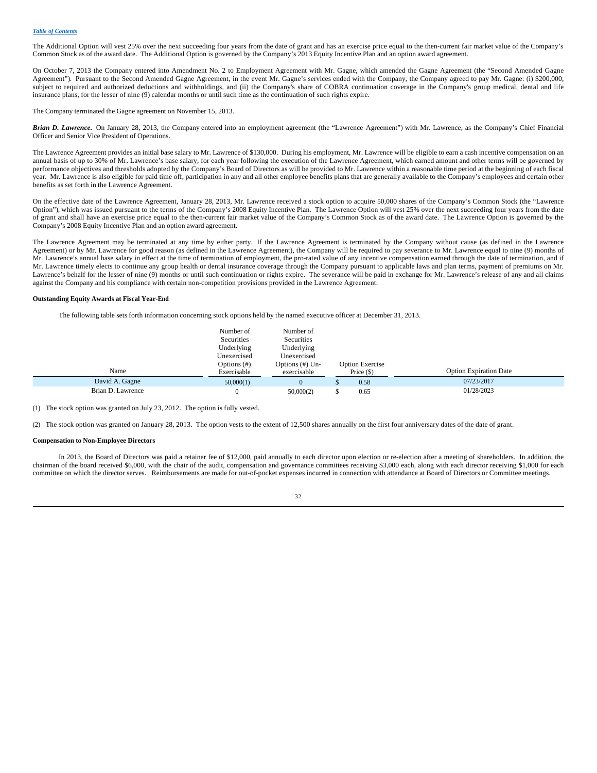The Additional Option will vest 25% over the next succeeding four years from the date of grant and has an exercise price equal to the then-current fair market value of the Company's Common Stock as of the award date. The Additional Option is governed by the Company's 2013 Equity Incentive Plan and an option award agreement.

On October 7, 2013 the Company entered into Amendment No. 2 to Employment Agreement with Mr. Gagne, which amended the Gagne Agreement (the "Second Amended Gagne Agreement"). Pursuant to the Second Amended Gagne Agreement, in the event Mr. Gagne's services ended with the Company, the Company agreed to pay Mr. Gagne: (i) \$200,000, subject to required and authorized deductions and withholdings, and (ii) the Company's share of COBRA continuation coverage in the Company's group medical, dental and life insurance plans, for the lesser of nine (9) calendar months or until such time as the continuation of such rights expire.

The Company terminated the Gagne agreement on November 15, 2013.

Brian D. Lawrence. On January 28, 2013, the Company entered into an employment agreement (the "Lawrence Agreement") with Mr. Lawrence, as the Company's Chief Financial Officer and Senior Vice President of Operations.

The Lawrence Agreement provides an initial base salary to Mr. Lawrence of \$130,000. During his employment, Mr. Lawrence will be eligible to earn a cash incentive compensation on an annual basis of up to 30% of Mr. Lawrence's base salary, for each year following the execution of the Lawrence Agreement, which earned amount and other terms will be governed by performance objectives and thresholds adopted by the Company's Board of Directors as will be provided to Mr. Lawrence within a reasonable time period at the beginning of each fiscal year. Mr. Lawrence is also eligible for paid time off, participation in any and all other employee benefits plans that are generally available to the Company's employees and certain other benefits as set forth in the Lawrence Agreement.

On the effective date of the Lawrence Agreement, January 28, 2013, Mr. Lawrence received a stock option to acquire 50,000 shares of the Company's Common Stock (the "Lawrence Option"), which was issued pursuant to the terms of the Company's 2008 Equity Incentive Plan. The Lawrence Option will vest 25% over the next succeeding four years from the date of grant and shall have an exercise price equal to the then-current fair market value of the Company's Common Stock as of the award date. The Lawrence Option is governed by the Company's 2008 Equity Incentive Plan and an option award agreement.

The Lawrence Agreement may be terminated at any time by either party. If the Lawrence Agreement is terminated by the Company without cause (as defined in the Lawrence Agreement) or by Mr. Lawrence for good reason (as defined in the Lawrence Agreement), the Company will be required to pay severance to Mr. Lawrence equal to nine (9) months of Mr. Lawrence's annual base salary in effect at the time of termination of employment, the pro-rated value of any incentive compensation earned through the date of termination, and if Mr. Lawrence timely elects to continue any group health or dental insurance coverage through the Company pursuant to applicable laws and plan terms, payment of premiums on Mr. Lawrence's behalf for the lesser of nine (9) months or until such continuation or rights expire. The severance will be paid in exchange for Mr. Lawrence's release of any and all claims against the Company and his compliance with certain non-competition provisions provided in the Lawrence Agreement.

#### **Outstanding Equity Awards at Fiscal Year-End**

The following table sets forth information concerning stock options held by the named executive officer at December 31, 2013.

|                   | Number of   | Number of       |                        |                               |
|-------------------|-------------|-----------------|------------------------|-------------------------------|
|                   | Securities  | Securities      |                        |                               |
|                   | Underlying  | Underlying      |                        |                               |
|                   | Unexercised | Unexercised     |                        |                               |
|                   | Options (#) | Options (#) Un- | <b>Option Exercise</b> |                               |
| Name              | Exercisable | exercisable     | Price $(\$)$           | <b>Option Expiration Date</b> |
| David A. Gagne    | 50,000(1)   | 0.              | 0.58                   | 07/23/2017                    |
| Brian D. Lawrence | $\Omega$    | 50,000(2)       | 0.65                   | 01/28/2023                    |

(1) The stock option was granted on July 23, 2012. The option is fully vested.

(2) The stock option was granted on January 28, 2013. The option vests to the extent of 12,500 shares annually on the first four anniversary dates of the date of grant.

#### **Compensation to Non-Employee Directors**

In 2013, the Board of Directors was paid a retainer fee of \$12,000, paid annually to each director upon election or re-election after a meeting of shareholders. In addition, the chairman of the board received \$6,000, with the chair of the audit, compensation and governance committees receiving \$3,000 each, along with each director receiving \$1,000 for each committee on which the director serves. Reimbursements are made for out-of-pocket expenses incurred in connection with attendance at Board of Directors or Committee meetings.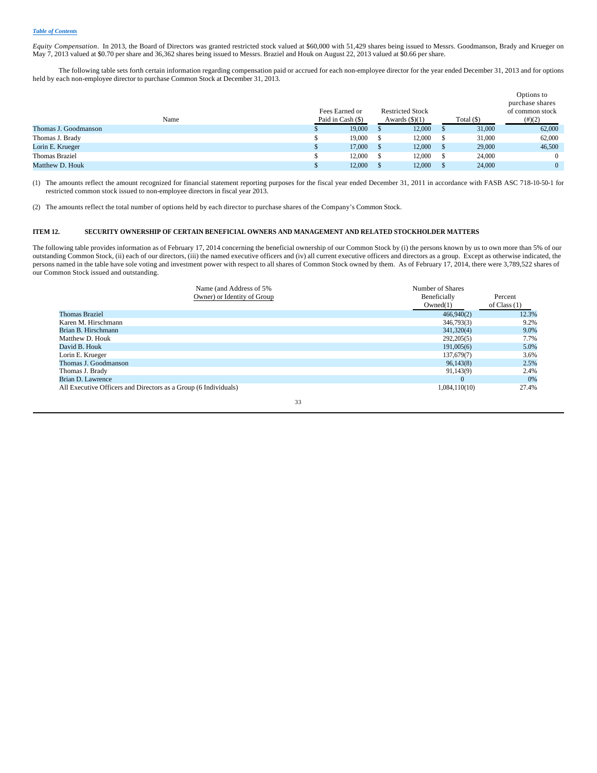*Equity Compensation*. In 2013, the Board of Directors was granted restricted stock valued at \$60,000 with 51,429 shares being issued to Messrs. Goodmanson, Brady and Krueger on May 7, 2013 valued at \$0.70 per share and 36,362 shares being issued to Messrs. Braziel and Houk on August 22, 2013 valued at \$0.66 per share.

The following table sets forth certain information regarding compensation paid or accrued for each non-employee director for the year ended December 31, 2013 and for options held by each non-employee director to purchase Common Stock at December 31, 2013.

|                       |                   |                         |              | Options to<br>purchase shares |
|-----------------------|-------------------|-------------------------|--------------|-------------------------------|
|                       | Fees Earned or    | <b>Restricted Stock</b> |              | of common stock               |
| Name                  | Paid in Cash (\$) | Awards $(\text{\$})(1)$ | Total $(\$)$ | $(\#)(2)$                     |
| Thomas J. Goodmanson  | 19,000            | 12,000                  | 31,000       | 62,000                        |
| Thomas J. Brady       | 19,000            | 12,000                  | 31,000       | 62,000                        |
| Lorin E. Krueger      | 17,000            | 12,000                  | 29,000       | 46,500                        |
| <b>Thomas Braziel</b> | 12,000            | 12,000                  | 24,000       | $\theta$                      |
| Matthew D. Houk       | 12,000            | 12,000                  | 24,000       | $\Omega$                      |

(1) The amounts reflect the amount recognized for financial statement reporting purposes for the fiscal year ended December 31, 2011 in accordance with FASB ASC 718-10-50-1 for restricted common stock issued to non-employee directors in fiscal year 2013.

(2) The amounts reflect the total number of options held by each director to purchase shares of the Company's Common Stock.

## **ITEM 12. SECURITY OWNERSHIP OF CERTAIN BENEFICIAL OWNERS AND MANAGEMENT AND RELATED STOCKHOLDER MATTERS**

The following table provides information as of February 17, 2014 concerning the beneficial ownership of our Common Stock by (i) the persons known by us to own more than 5% of our outstanding Common Stock, (ii) each of our directors, (iii) the named executive officers and (iv) all current executive officers and directors as a group. Except as otherwise indicated, the persons named in the table have sole voting and investment power with respect to all shares of Common Stock owned by them. As of February 17, 2014, there were 3,789,522 shares of our Common Stock issued and outstanding.

|                                                                 | Name (and Address of 5%)<br>Owner) or Identity of Group | Number of Shares<br>Beneficially<br>Owned(1) | Percent<br>of Class $(1)$ |
|-----------------------------------------------------------------|---------------------------------------------------------|----------------------------------------------|---------------------------|
| <b>Thomas Braziel</b>                                           |                                                         | 466,940(2)                                   | 12.3%                     |
| Karen M. Hirschmann                                             |                                                         | 346,793(3)                                   | 9.2%                      |
| Brian B. Hirschmann                                             |                                                         | 341,320(4)                                   | 9.0%                      |
| Matthew D. Houk                                                 |                                                         | 292,205(5)                                   | 7.7%                      |
| David B. Houk                                                   |                                                         | 191,005(6)                                   | 5.0%                      |
| Lorin E. Krueger                                                |                                                         | 137,679(7)                                   | 3.6%                      |
| Thomas J. Goodmanson                                            |                                                         | 96,143(8)                                    | 2.5%                      |
| Thomas J. Brady                                                 |                                                         | 91,143(9)                                    | 2.4%                      |
| Brian D. Lawrence                                               |                                                         | $\Omega$                                     | 0%                        |
| All Executive Officers and Directors as a Group (6 Individuals) |                                                         | 1,084,110(10)                                | 27.4%                     |
|                                                                 | 33                                                      |                                              |                           |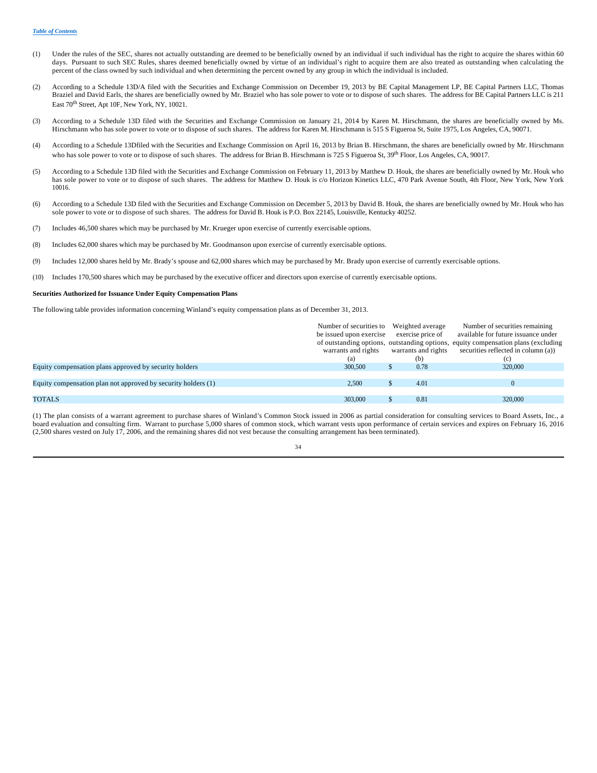- (1) Under the rules of the SEC, shares not actually outstanding are deemed to be beneficially owned by an individual if such individual has the right to acquire the shares within 60 days. Pursuant to such SEC Rules, shares deemed beneficially owned by virtue of an individual's right to acquire them are also treated as outstanding when calculating the percent of the class owned by such individual and when determining the percent owned by any group in which the individual is included.
- (2) According to a Schedule 13D/A filed with the Securities and Exchange Commission on December 19, 2013 by BE Capital Management LP, BE Capital Partners LLC, Thomas Braziel and David Earls, the shares are beneficially owned by Mr. Braziel who has sole power to vote or to dispose of such shares. The address for BE Capital Partners LLC is 211 East 70<sup>th</sup> Street, Apt 10F, New York, NY, 10021.
- (3) According to a Schedule 13D filed with the Securities and Exchange Commission on January 21, 2014 by Karen M. Hirschmann, the shares are beneficially owned by Ms. Hirschmann who has sole power to vote or to dispose of such shares. The address for Karen M. Hirschmann is 515 S Figueroa St, Suite 1975, Los Angeles, CA, 90071.
- (4) According to a Schedule 13Dfiled with the Securities and Exchange Commission on April 16, 2013 by Brian B. Hirschmann, the shares are beneficially owned by Mr. Hirschmann who has sole power to vote or to dispose of such shares. The address for Brian B. Hirschmann is 725 S Figueroa St, 39<sup>th</sup> Floor, Los Angeles, CA, 90017.
- (5) According to a Schedule 13D filed with the Securities and Exchange Commission on February 11, 2013 by Matthew D. Houk, the shares are beneficially owned by Mr. Houk who has sole power to vote or to dispose of such shares. The address for Matthew D. Houk is c/o Horizon Kinetics LLC, 470 Park Avenue South, 4th Floor, New York, New York 10016.
- (6) According to a Schedule 13D filed with the Securities and Exchange Commission on December 5, 2013 by David B. Houk, the shares are beneficially owned by Mr. Houk who has sole power to vote or to dispose of such shares. The address for David B. Houk is P.O. Box 22145, Louisville, Kentucky 40252.
- (7) Includes 46,500 shares which may be purchased by Mr. Krueger upon exercise of currently exercisable options.
- (8) Includes 62,000 shares which may be purchased by Mr. Goodmanson upon exercise of currently exercisable options.
- (9) Includes 12,000 shares held by Mr. Brady's spouse and 62,000 shares which may be purchased by Mr. Brady upon exercise of currently exercisable options.
- (10) Includes 170,500 shares which may be purchased by the executive officer and directors upon exercise of currently exercisable options.

#### **Securities Authorized for Issuance Under Equity Compensation Plans**

The following table provides information concerning Winland's equity compensation plans as of December 31, 2013.

|                                                               | Number of securities to<br>be issued upon exercise | Weighted average<br>exercise price of | Number of securities remaining<br>available for future issuance under                                                    |
|---------------------------------------------------------------|----------------------------------------------------|---------------------------------------|--------------------------------------------------------------------------------------------------------------------------|
|                                                               | warrants and rights                                | warrants and rights                   | of outstanding options, outstanding options, equity compensation plans (excluding<br>securities reflected in column (a)) |
|                                                               | (a)                                                | (b)                                   | (c)                                                                                                                      |
| Equity compensation plans approved by security holders        | 300,500                                            | 0.78                                  | 320,000                                                                                                                  |
|                                                               |                                                    |                                       |                                                                                                                          |
| Equity compensation plan not approved by security holders (1) | 2.500                                              | 4.01                                  |                                                                                                                          |
|                                                               |                                                    |                                       |                                                                                                                          |
| <b>TOTALS</b>                                                 | 303,000                                            | 0.81                                  | 320,000                                                                                                                  |
|                                                               |                                                    |                                       |                                                                                                                          |

(1) The plan consists of a warrant agreement to purchase shares of Winland's Common Stock issued in 2006 as partial consideration for consulting services to Board Assets, Inc., a board evaluation and consulting firm. Warrant to purchase 5,000 shares of common stock, which warrant vests upon performance of certain services and expires on February 16, 2016 (2,500 shares vested on July 17, 2006, and the remaining shares did not vest because the consulting arrangement has been terminated).

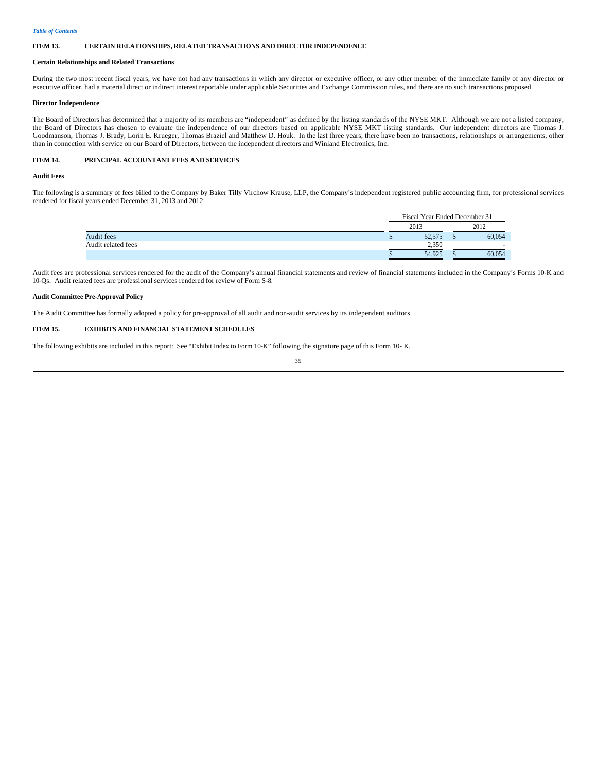#### **ITEM 13. CERTAIN RELATIONSHIPS, RELATED TRANSACTIONS AND DIRECTOR INDEPENDENCE**

#### **Certain Relationships and Related Transactions**

During the two most recent fiscal years, we have not had any transactions in which any director or executive officer, or any other member of the immediate family of any director or executive officer, had a material direct or indirect interest reportable under applicable Securities and Exchange Commission rules, and there are no such transactions proposed.

### **Director Independence**

The Board of Directors has determined that a majority of its members are "independent" as defined by the listing standards of the NYSE MKT. Although we are not a listed company, the Board of Directors has chosen to evaluate the independence of our directors based on applicable NYSE MKT listing standards. Our independent directors are Thomas J. Goodmanson, Thomas J. Brady, Lorin E. Krueger, Thomas Braziel and Matthew D. Houk. In the last three years, there have been no transactions, relationships or arrangements, other than in connection with service on our Board of Directors, between the independent directors and Winland Electronics, Inc.

## **ITEM 14. PRINCIPAL ACCOUNTANT FEES AND SERVICES**

## **Audit Fees**

The following is a summary of fees billed to the Company by Baker Tilly Virchow Krause, LLP, the Company's independent registered public accounting firm, for professional services rendered for fiscal years ended December 31, 2013 and 2012:

|                    |      | Fiscal Year Ended December 31 |      |                          |
|--------------------|------|-------------------------------|------|--------------------------|
|                    | 2013 |                               | 2012 |                          |
| Audit fees         |      | 52,575                        |      | 60,054                   |
| Audit related fees |      | 2.350                         |      | $\overline{\phantom{a}}$ |
|                    |      | 54,925                        |      | 60.054                   |

Audit fees are professional services rendered for the audit of the Company's annual financial statements and review of financial statements included in the Company's Forms 10-K and 10-Qs. Audit related fees are professional services rendered for review of Form S-8.

#### **Audit Committee Pre-Approval Policy**

The Audit Committee has formally adopted a policy for pre-approval of all audit and non-audit services by its independent auditors.

## **ITEM 15. EXHIBITS AND FINANCIAL STATEMENT SCHEDULES**

The following exhibits are included in this report: See "Exhibit Index to Form 10-K" following the signature page of this Form 10-K.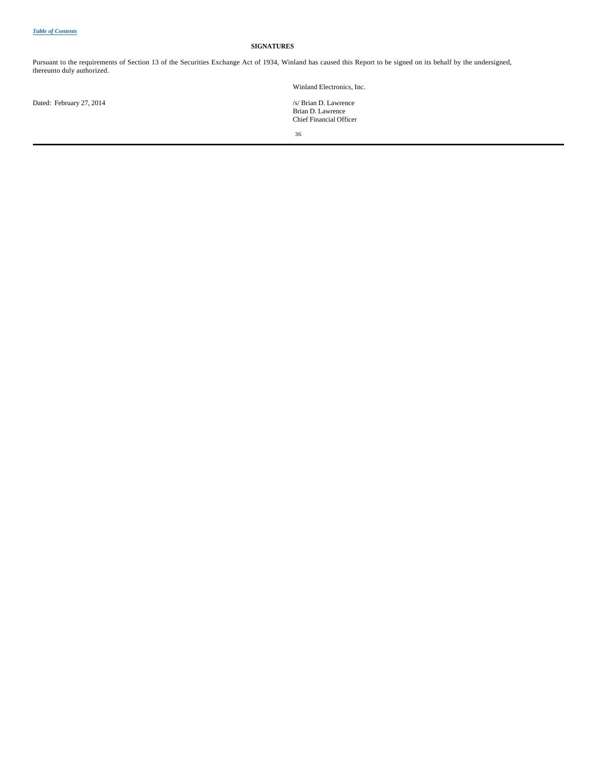## **SIGNATURES**

Pursuant to the requirements of Section 13 of the Securities Exchange Act of 1934, Winland has caused this Report to be signed on its behalf by the undersigned, thereunto duly authorized.

Winland Electronics, Inc.

Dated: February 27, 2014

Brian D. Lawrence Chief Financial Officer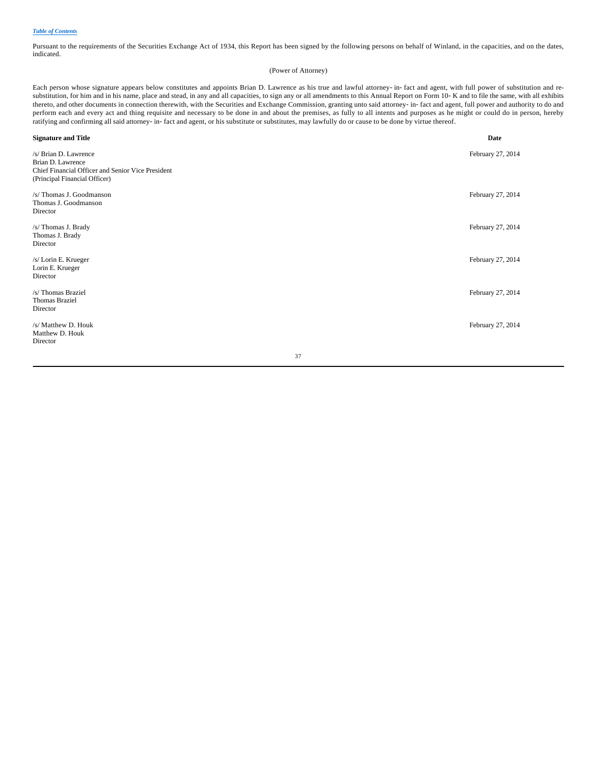Pursuant to the requirements of the Securities Exchange Act of 1934, this Report has been signed by the following persons on behalf of Winland, in the capacities, and on the dates, indicated.

## (Power of Attorney)

Each person whose signature appears below constitutes and appoints Brian D. Lawrence as his true and lawful attorney-in-fact and agent, with full power of substitution and resubstitution, for him and in his name, place and stead, in any and all capacities, to sign any or all amendments to this Annual Report on Form 10-K and to file the same, with all exhibits thereto, and other documents in connection therewith, with the Securities and Exchange Commission, granting unto said attorney-in-fact and agent, full power and authority to do and perform each and every act and thing requisite and necessary to be done in and about the premises, as fully to all intents and purposes as he might or could do in person, hereby ratifying and confirming all said attorney-in-fact and agent, or his substitute or substitutes, may lawfully do or cause to be done by virtue thereof.

| <b>Signature and Title</b>                                                                                                       |    | Date              |
|----------------------------------------------------------------------------------------------------------------------------------|----|-------------------|
| /s/ Brian D. Lawrence<br>Brian D. Lawrence<br>Chief Financial Officer and Senior Vice President<br>(Principal Financial Officer) |    | February 27, 2014 |
| /s/ Thomas J. Goodmanson<br>Thomas J. Goodmanson<br>Director                                                                     |    | February 27, 2014 |
| /s/ Thomas J. Brady<br>Thomas J. Brady<br>Director                                                                               |    | February 27, 2014 |
| /s/ Lorin E. Krueger<br>Lorin E. Krueger<br>Director                                                                             |    | February 27, 2014 |
| /s/Thomas Braziel<br><b>Thomas Braziel</b><br>Director                                                                           |    | February 27, 2014 |
| /s/ Matthew D. Houk<br>Matthew D. Houk<br>Director                                                                               |    | February 27, 2014 |
|                                                                                                                                  | 37 |                   |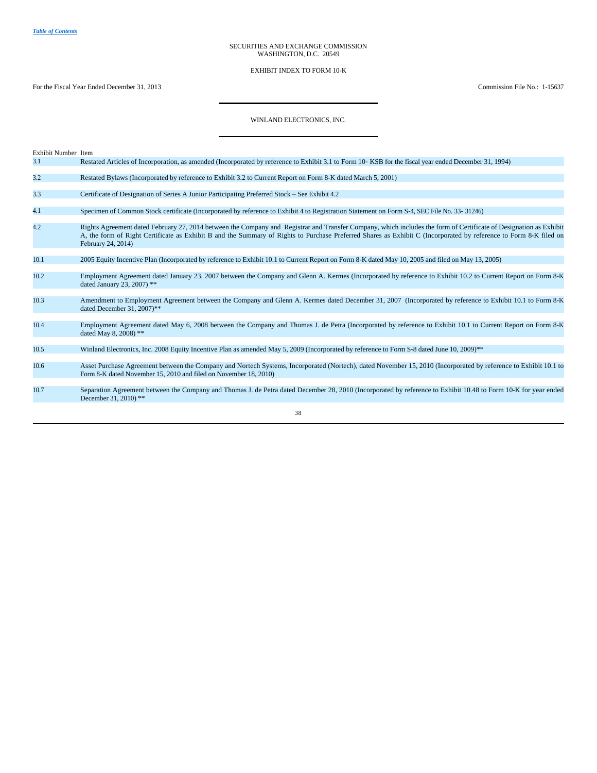#### SECURITIES AND EXCHANGE COMMISSION WASHINGTON, D.C. 20549

EXHIBIT INDEX TO FORM 10-K

For the Fiscal Year Ended December 31, 2013 Commission File No.: 1-15637

# WINLAND ELECTRONICS, INC.

| Exhibit Number Item |                                                                                                                                                                                                                                                                                                                                                              |
|---------------------|--------------------------------------------------------------------------------------------------------------------------------------------------------------------------------------------------------------------------------------------------------------------------------------------------------------------------------------------------------------|
| 3.1                 | Restated Articles of Incorporation, as amended (Incorporated by reference to Exhibit 3.1 to Form 10–KSB for the fiscal year ended December 31, 1994)                                                                                                                                                                                                         |
| 3.2                 | Restated Bylaws (Incorporated by reference to Exhibit 3.2 to Current Report on Form 8-K dated March 5, 2001)                                                                                                                                                                                                                                                 |
| 3.3                 | Certificate of Designation of Series A Junior Participating Preferred Stock – See Exhibit 4.2                                                                                                                                                                                                                                                                |
| 4.1                 | Specimen of Common Stock certificate (Incorporated by reference to Exhibit 4 to Registration Statement on Form S-4, SEC File No. 33-31246)                                                                                                                                                                                                                   |
| 4.2                 | Rights Agreement dated February 27, 2014 between the Company and Registrar and Transfer Company, which includes the form of Certificate of Designation as Exhibit<br>A, the form of Right Certificate as Exhibit B and the Summary of Rights to Purchase Preferred Shares as Exhibit C (Incorporated by reference to Form 8-K filed on<br>February 24, 2014) |
| 10.1                | 2005 Equity Incentive Plan (Incorporated by reference to Exhibit 10.1 to Current Report on Form 8-K dated May 10, 2005 and filed on May 13, 2005)                                                                                                                                                                                                            |
| 10.2                | Employment Agreement dated January 23, 2007 between the Company and Glenn A. Kermes (Incorporated by reference to Exhibit 10.2 to Current Report on Form 8-K<br>dated January 23, 2007) **                                                                                                                                                                   |
| 10.3                | Amendment to Employment Agreement between the Company and Glenn A. Kermes dated December 31, 2007 (Incorporated by reference to Exhibit 10.1 to Form 8-K<br>dated December 31, 2007)**                                                                                                                                                                       |
| 10.4                | Employment Agreement dated May 6, 2008 between the Company and Thomas J. de Petra (Incorporated by reference to Exhibit 10.1 to Current Report on Form 8-K<br>dated May 8, 2008) **                                                                                                                                                                          |
| 10.5                | Winland Electronics, Inc. 2008 Equity Incentive Plan as amended May 5, 2009 (Incorporated by reference to Form S-8 dated June 10, 2009)**                                                                                                                                                                                                                    |
| 10.6                | Asset Purchase Agreement between the Company and Nortech Systems, Incorporated (Nortech), dated November 15, 2010 (Incorporated by reference to Exhibit 10.1 to<br>Form 8-K dated November 15, 2010 and filed on November 18, 2010)                                                                                                                          |
| 10.7                | Separation Agreement between the Company and Thomas J. de Petra dated December 28, 2010 (Incorporated by reference to Exhibit 10.48 to Form 10-K for year ended<br>December 31, 2010) **                                                                                                                                                                     |
|                     | 38                                                                                                                                                                                                                                                                                                                                                           |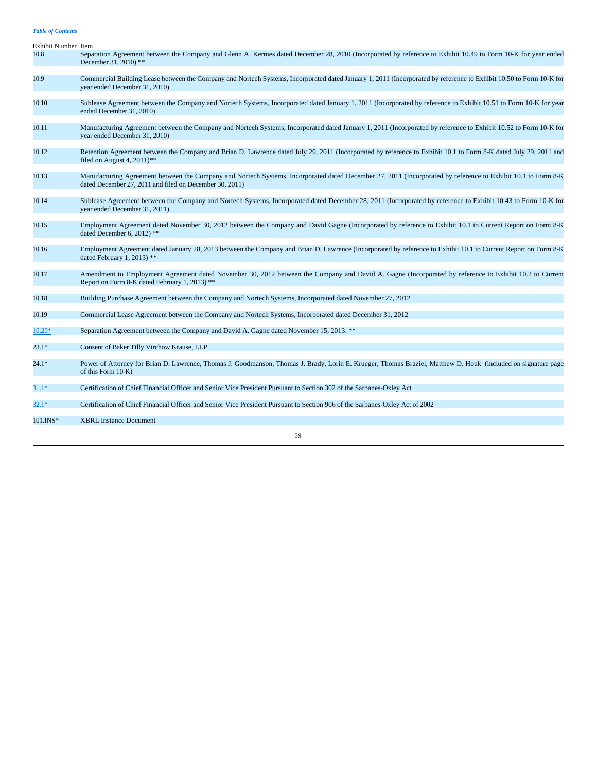| Exhibit Number Item |                                                                                                                                                                                                                         |
|---------------------|-------------------------------------------------------------------------------------------------------------------------------------------------------------------------------------------------------------------------|
| 10.8                | Separation Agreement between the Company and Glenn A. Kermes dated December 28, 2010 (Incorporated by reference to Exhibit 10.49 to Form 10-K for year ended<br>December 31, 2010) **                                   |
| 10.9                | Commercial Building Lease between the Company and Nortech Systems, Incorporated dated January 1, 2011 (Incorporated by reference to Exhibit 10.50 to Form 10-K for<br>year ended December 31, 2010)                     |
| 10.10               | Sublease Agreement between the Company and Nortech Systems, Incorporated dated January 1, 2011 (Incorporated by reference to Exhibit 10.51 to Form 10-K for year<br>ended December 31, 2010)                            |
| 10.11               | Manufacturing Agreement between the Company and Nortech Systems, Incorporated dated January 1, 2011 (Incorporated by reference to Exhibit 10.52 to Form 10-K for<br>year ended December 31, 2010)                       |
| 10.12               | Retention Agreement between the Company and Brian D. Lawrence dated July 29, 2011 (Incorporated by reference to Exhibit 10.1 to Form 8-K dated July 29, 2011 and<br>filed on August 4, $2011$ <sup>**</sup>             |
| 10.13               | Manufacturing Agreement between the Company and Nortech Systems, Incorporated dated December 27, 2011 (Incorporated by reference to Exhibit 10.1 to Form 8-K<br>dated December 27, 2011 and filed on December 30, 2011) |
| 10.14               | Sublease Agreement between the Company and Nortech Systems, Incorporated dated December 28, 2011 (Incorporated by reference to Exhibit 10.43 to Form 10-K for<br>year ended December 31, 2011)                          |
| 10.15               | Employment Agreement dated November 30, 2012 between the Company and David Gagne (Incorporated by reference to Exhibit 10.1 to Current Report on Form 8-K<br>dated December 6, 2012) **                                 |
| 10.16               | Employment Agreement dated January 28, 2013 between the Company and Brian D. Lawrence (Incorporated by reference to Exhibit 10.1 to Current Report on Form 8-K<br>dated February 1, 2013) **                            |
| 10.17               | Amendment to Employment Agreement dated November 30, 2012 between the Company and David A. Gagne (Incorporated by reference to Exhibit 10.2 to Current<br>Report on Form 8-K dated February 1, 2013) **                 |
| 10.18               | Building Purchase Agreement between the Company and Nortech Systems, Incorporated dated November 27, 2012                                                                                                               |
| 10.19               | Commercial Lease Agreement between the Company and Nortech Systems, Incorporated dated December 31, 2012                                                                                                                |
| $10.20*$            | Separation Agreement between the Company and David A. Gagne dated November 15, 2013. **                                                                                                                                 |
| $23.1*$             | Consent of Baker Tilly Virchow Krause, LLP                                                                                                                                                                              |
| $24.1*$             | Power of Attorney for Brian D. Lawrence, Thomas J. Goodmanson, Thomas J. Brady, Lorin E. Krueger, Thomas Braziel, Matthew D. Houk (included on signature page<br>of this Form 10-K)                                     |
| 31.1*               | Certification of Chief Financial Officer and Senior Vice President Pursuant to Section 302 of the Sarbanes-Oxley Act                                                                                                    |
| $32.1*$             | Certification of Chief Financial Officer and Senior Vice President Pursuant to Section 906 of the Sarbanes-Oxley Act of 2002                                                                                            |
| $101.INS*$          | <b>XBRL Instance Document</b>                                                                                                                                                                                           |
|                     | 39                                                                                                                                                                                                                      |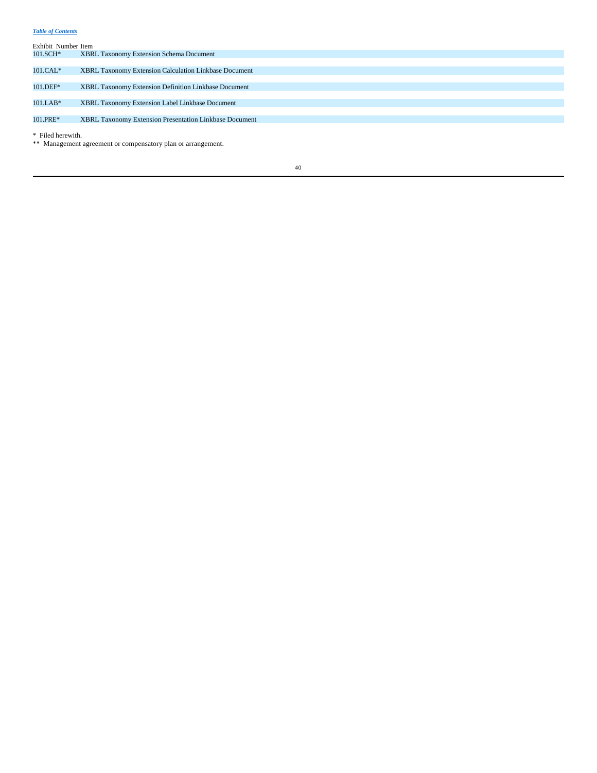| Exhibit Number Item |                                                        |
|---------------------|--------------------------------------------------------|
| 101.SCH*            | <b>XBRL Taxonomy Extension Schema Document</b>         |
|                     |                                                        |
| $101.CAL*$          | XBRL Taxonomy Extension Calculation Linkbase Document  |
|                     |                                                        |
| 101.DEF*            | XBRL Taxonomy Extension Definition Linkbase Document   |
|                     |                                                        |
| $101.LAB*$          | XBRL Taxonomy Extension Label Linkbase Document        |
|                     |                                                        |
| 101.PRE*            | XBRL Taxonomy Extension Presentation Linkbase Document |
|                     |                                                        |

\* Filed herewith.

\*\* Management agreement or compensatory plan or arrangement.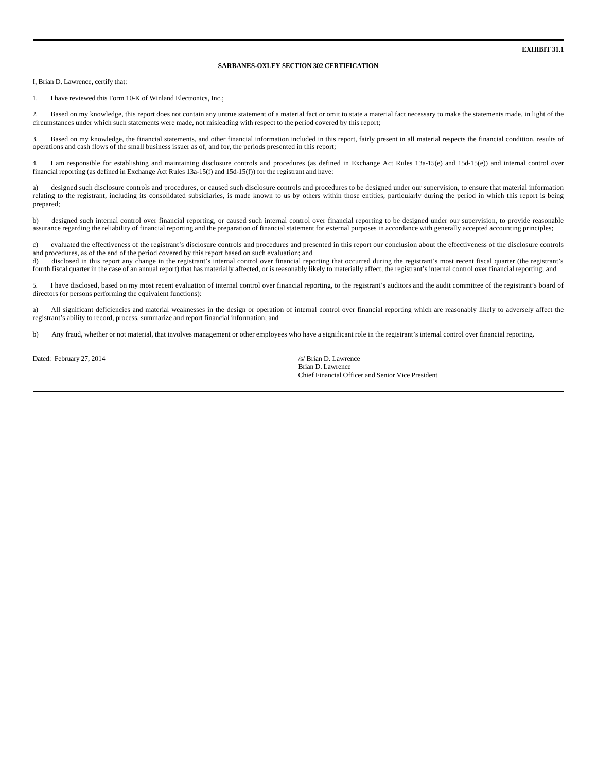## **SARBANES-OXLEY SECTION 302 CERTIFICATION**

I, Brian D. Lawrence, certify that:

1. I have reviewed this Form 10-K of Winland Electronics, Inc.;

2. Based on my knowledge, this report does not contain any untrue statement of a material fact or omit to state a material fact necessary to make the statements made, in light of the circumstances under which such statements were made, not misleading with respect to the period covered by this report;

3. Based on my knowledge, the financial statements, and other financial information included in this report, fairly present in all material respects the financial condition, results of operations and cash flows of the small business issuer as of, and for, the periods presented in this report;

4. I am responsible for establishing and maintaining disclosure controls and procedures (as defined in Exchange Act Rules 13a-15(e) and 15d-15(e)) and internal control over financial reporting (as defined in Exchange Act Rules 13a-15(f) and 15d-15(f)) for the registrant and have:

a) designed such disclosure controls and procedures, or caused such disclosure controls and procedures to be designed under our supervision, to ensure that material information relating to the registrant, including its consolidated subsidiaries, is made known to us by others within those entities, particularly during the period in which this report is being prepared;

b) designed such internal control over financial reporting, or caused such internal control over financial reporting to be designed under our supervision, to provide reasonable assurance regarding the reliability of financial reporting and the preparation of financial statement for external purposes in accordance with generally accepted accounting principles;

c) evaluated the effectiveness of the registrant's disclosure controls and procedures and presented in this report our conclusion about the effectiveness of the disclosure controls and procedures, as of the end of the period covered by this report based on such evaluation; and d) disclosed in this report any change in the registrant's internal control over financial reporting that occurred during the registrant's most recent fiscal quarter (the registrant's

fourth fiscal quarter in the case of an annual report) that has materially affected, or is reasonably likely to materially affect, the registrant's internal control over financial reporting; and

5. I have disclosed, based on my most recent evaluation of internal control over financial reporting, to the registrant's auditors and the audit committee of the registrant's board of directors (or persons performing the equivalent functions):

a) All significant deficiencies and material weaknesses in the design or operation of internal control over financial reporting which are reasonably likely to adversely affect the registrant's ability to record, process, summarize and report financial information; and

b) Any fraud, whether or not material, that involves management or other employees who have a significant role in the registrant's internal control over financial reporting.

Dated: February 27, 2014 /s/ Brian D. Lawrence

Brian D. Lawrence Chief Financial Officer and Senior Vice President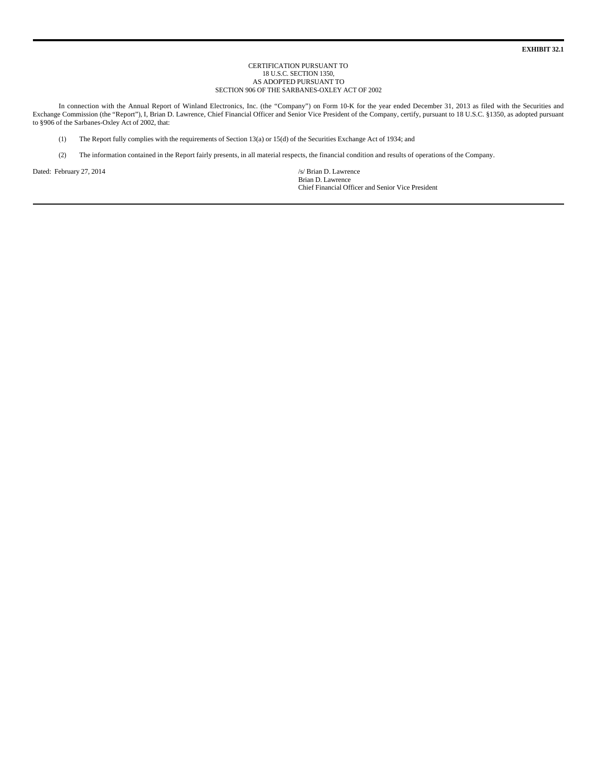**EXHIBIT 32.1**

#### CERTIFICATION PURSUANT TO 18 U.S.C. SECTION 1350, AS ADOPTED PURSUANT TO SECTION 906 OF THE SARBANES-OXLEY ACT OF 2002

In connection with the Annual Report of Winland Electronics, Inc. (the "Company") on Form 10-K for the year ended December 31, 2013 as filed with the Securities and Exchange Commission (the "Report"), I, Brian D. Lawrence, Chief Financial Officer and Senior Vice President of the Company, certify, pursuant to 18 U.S.C. §1350, as adopted pursuant to §906 of the Sarbanes-Oxley Act of 2002, that:

- (1) The Report fully complies with the requirements of Section 13(a) or 15(d) of the Securities Exchange Act of 1934; and
- (2) The information contained in the Report fairly presents, in all material respects, the financial condition and results of operations of the Company.

Dated: February 27, 2014 /s/ Brian D. Lawrence

Brian D. Lawrence Chief Financial Officer and Senior Vice President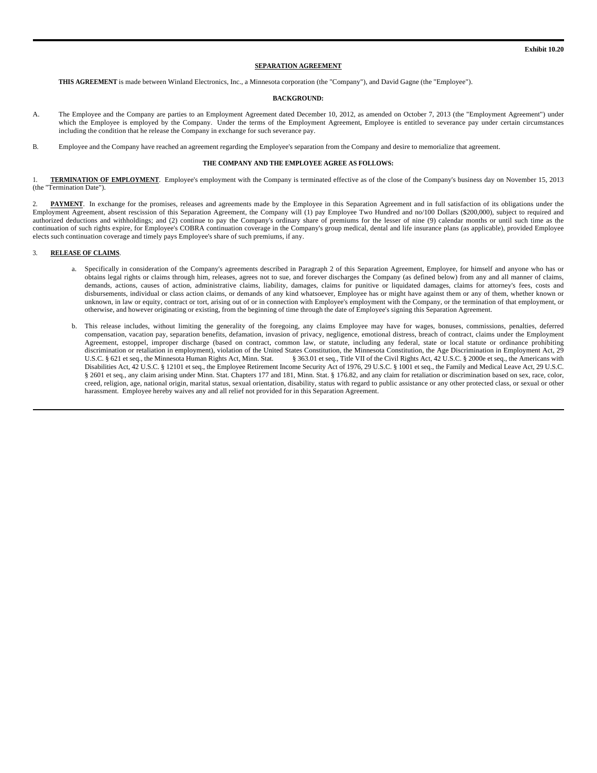#### **SEPARATION AGREEMENT**

**THIS AGREEMENT** is made between Winland Electronics, Inc., a Minnesota corporation (the "Company"), and David Gagne (the "Employee").

#### **BACKGROUND:**

- A. The Employee and the Company are parties to an Employment Agreement dated December 10, 2012, as amended on October 7, 2013 (the "Employment Agreement") under which the Employee is employed by the Company. Under the terms of the Employment Agreement, Employee is entitled to severance pay under certain circumstances including the condition that he release the Company in exchange for such severance pay.
- B. Employee and the Company have reached an agreement regarding the Employee's separation from the Company and desire to memorialize that agreement.

#### **THE COMPANY AND THE EMPLOYEE AGREE AS FOLLOWS:**

1. **TERMINATION OF EMPLOYMENT**. Employee's employment with the Company is terminated effective as of the close of the Company's business day on November 15, 2013 (the "Termination Date").

PAYMENT. In exchange for the promises, releases and agreements made by the Employee in this Separation Agreement and in full satisfaction of its obligations under the Employment Agreement, absent rescission of this Separation Agreement, the Company will (1) pay Employee Two Hundred and no/100 Dollars (\$200,000), subject to required and authorized deductions and withholdings; and (2) continue to pay the Company's ordinary share of premiums for the lesser of nine (9) calendar months or until such time as the continuation of such rights expire, for Employee's COBRA continuation coverage in the Company's group medical, dental and life insurance plans (as applicable), provided Employee elects such continuation coverage and timely pays Employee's share of such premiums, if any.

## 3. **RELEASE OF CLAIMS**.

- a. Specifically in consideration of the Company's agreements described in Paragraph 2 of this Separation Agreement, Employee, for himself and anyone who has or obtains legal rights or claims through him, releases, agrees not to sue, and forever discharges the Company (as defined below) from any and all manner of claims, demands, actions, causes of action, administrative claims, liability, damages, claims for punitive or liquidated damages, claims for attorney's fees, costs and disbursements, individual or class action claims, or demands of any kind whatsoever, Employee has or might have against them or any of them, whether known or unknown, in law or equity, contract or tort, arising out of or in connection with Employee's employment with the Company, or the termination of that employment, or otherwise, and however originating or existing, from the beginning of time through the date of Employee's signing this Separation Agreement.
- b. This release includes, without limiting the generality of the foregoing, any claims Employee may have for wages, bonuses, commissions, penalties, deferred compensation, vacation pay, separation benefits, defamation, invasion of privacy, negligence, emotional distress, breach of contract, claims under the Employment Agreement, estoppel, improper discharge (based on contract, common law, or statute, including any federal, state or local statute or ordinance prohibiting discrimination or retaliation in employment), violation of the United States Constitution, the Minnesota Constitution, the Age Discrimination in Employment Act, 29<br>U.S.C. § 621 et seq., the Minnesota Human Rights Act, Minn § 363.01 et seq., Title VII of the Civil Rights Act, 42 U.S.C. § 2000e et seq., the Americans with Disabilities Act, 42 U.S.C. § 12101 et seq., the Employee Retirement Income Security Act of 1976, 29 U.S.C. § 1001 et seq., the Family and Medical Leave Act, 29 U.S.C. § 2601 et seq., any claim arising under Minn. Stat. Chapters 177 and 181, Minn. Stat. § 176.82, and any claim for retaliation or discrimination based on sex, race, color, creed, religion, age, national origin, marital status, sexual orientation, disability, status with regard to public assistance or any other protected class, or sexual or other harassment. Employee hereby waives any and all relief not provided for in this Separation Agreement.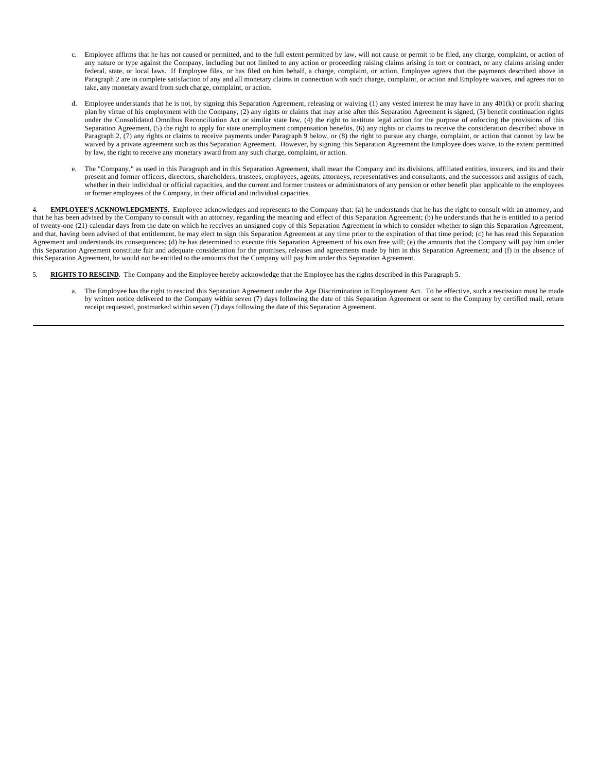- c. Employee affirms that he has not caused or permitted, and to the full extent permitted by law, will not cause or permit to be filed, any charge, complaint, or action of any nature or type against the Company, including but not limited to any action or proceeding raising claims arising in tort or contract, or any claims arising under federal, state, or local laws. If Employee files, or has filed on him behalf, a charge, complaint, or action, Employee agrees that the payments described above in Paragraph 2 are in complete satisfaction of any and all monetary claims in connection with such charge, complaint, or action and Employee waives, and agrees not to take, any monetary award from such charge, complaint, or action.
- d. Employee understands that he is not, by signing this Separation Agreement, releasing or waiving (1) any vested interest he may have in any 401(k) or profit sharing plan by virtue of his employment with the Company, (2) any rights or claims that may arise after this Separation Agreement is signed, (3) benefit continuation rights under the Consolidated Omnibus Reconciliation Act or similar state law, (4) the right to institute legal action for the purpose of enforcing the provisions of this Separation Agreement, (5) the right to apply for state unemployment compensation benefits, (6) any rights or claims to receive the consideration described above in Paragraph 2, (7) any rights or claims to receive payments under Paragraph 9 below, or (8) the right to pursue any charge, complaint, or action that cannot by law be waived by a private agreement such as this Separation Agreement. However, by signing this Separation Agreement the Employee does waive, to the extent permitted by law, the right to receive any monetary award from any such charge, complaint, or action.
- e. The "Company," as used in this Paragraph and in this Separation Agreement, shall mean the Company and its divisions, affiliated entities, insurers, and its and their present and former officers, directors, shareholders, trustees, employees, agents, attorneys, representatives and consultants, and the successors and assigns of each, whether in their individual or official capacities, and the current and former trustees or administrators of any pension or other benefit plan applicable to the employees or former employees of the Company, in their official and individual capacities.

4. **EMPLOYEE'S ACKNOWLEDGMENTS.** Employee acknowledges and represents to the Company that: (a) he understands that he has the right to consult with an attorney, and that he has been advised by the Company to consult with an attorney, regarding the meaning and effect of this Separation Agreement; (b) he understands that he is entitled to a period of twenty-one (21) calendar days from the date on which he receives an unsigned copy of this Separation Agreement in which to consider whether to sign this Separation Agreement, and that, having been advised of that entitlement, he may elect to sign this Separation Agreement at any time prior to the expiration of that time period; (c) he has read this Separation Agreement and understands its consequences; (d) he has determined to execute this Separation Agreement of his own free will; (e) the amounts that the Company will pay him under this Separation Agreement constitute fair and adequate consideration for the promises, releases and agreements made by him in this Separation Agreement; and (f) in the absence of this Separation Agreement, he would not be entitled to the amounts that the Company will pay him under this Separation Agreement.

- 5. **RIGHTS TO RESCIND**.The Company and the Employee hereby acknowledge that the Employee has the rights described in this Paragraph 5.
	- a. The Employee has the right to rescind this Separation Agreement under the Age Discrimination in Employment Act. To be effective, such a rescission must be made by written notice delivered to the Company within seven (7) days following the date of this Separation Agreement or sent to the Company by certified mail, return receipt requested, postmarked within seven (7) days following the date of this Separation Agreement.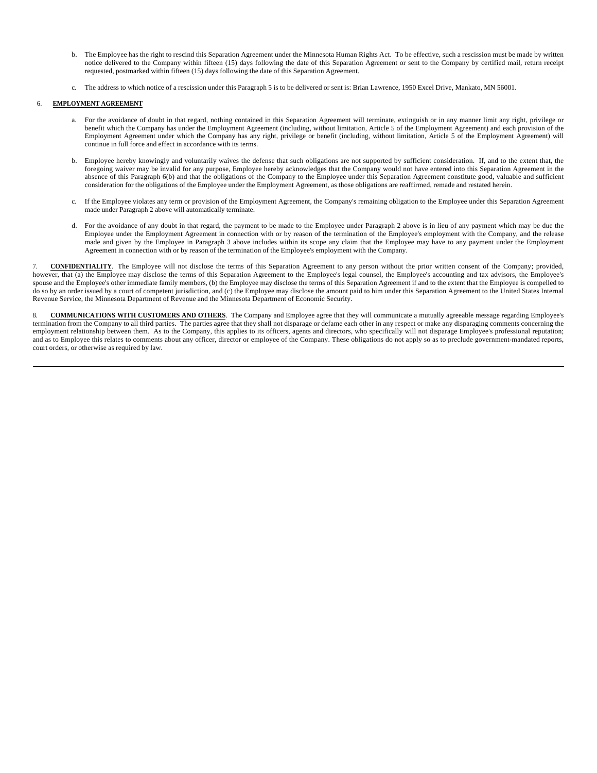- b. The Employee has the right to rescind this Separation Agreement under the Minnesota Human Rights Act. To be effective, such a rescission must be made by written notice delivered to the Company within fifteen (15) days following the date of this Separation Agreement or sent to the Company by certified mail, return receipt requested, postmarked within fifteen (15) days following the date of this Separation Agreement.
- c. The address to which notice of a rescission under this Paragraph 5 is to be delivered or sent is: Brian Lawrence, 1950 Excel Drive, Mankato, MN 56001.

## 6. **EMPLOYMENT AGREEMENT**

- a. For the avoidance of doubt in that regard, nothing contained in this Separation Agreement will terminate, extinguish or in any manner limit any right, privilege or benefit which the Company has under the Employment Agreement (including, without limitation, Article 5 of the Employment Agreement) and each provision of the Employment Agreement under which the Company has any right, privilege or benefit (including, without limitation, Article 5 of the Employment Agreement) will continue in full force and effect in accordance with its terms.
- b. Employee hereby knowingly and voluntarily waives the defense that such obligations are not supported by sufficient consideration. If, and to the extent that, the foregoing waiver may be invalid for any purpose, Employee hereby acknowledges that the Company would not have entered into this Separation Agreement in the absence of this Paragraph 6(b) and that the obligations of the Company to the Employee under this Separation Agreement constitute good, valuable and sufficient consideration for the obligations of the Employee under the Employment Agreement, as those obligations are reaffirmed, remade and restated herein.
- c. If the Employee violates any term or provision of the Employment Agreement, the Company's remaining obligation to the Employee under this Separation Agreement made under Paragraph 2 above will automatically terminate.
- d. For the avoidance of any doubt in that regard, the payment to be made to the Employee under Paragraph 2 above is in lieu of any payment which may be due the Employee under the Employment Agreement in connection with or by reason of the termination of the Employee's employment with the Company, and the release made and given by the Employee in Paragraph 3 above includes within its scope any claim that the Employee may have to any payment under the Employment Agreement in connection with or by reason of the termination of the Employee's employment with the Company.

7. **CONFIDENTIALITY**.The Employee will not disclose the terms of this Separation Agreement to any person without the prior written consent of the Company; provided, however, that (a) the Employee may disclose the terms of this Separation Agreement to the Employee's legal counsel, the Employee's accounting and tax advisors, the Employee's spouse and the Employee's other immediate family members, (b) the Employee may disclose the terms of this Separation Agreement if and to the extent that the Employee is compelled to do so by an order issued by a court of competent jurisdiction, and (c) the Employee may disclose the amount paid to him under this Separation Agreement to the United States Internal Revenue Service, the Minnesota Department of Revenue and the Minnesota Department of Economic Security.

8. COMMUNICATIONS WITH CUSTOMERS AND OTHERS. The Company and Employee agree that they will communicate a mutually agreeable message regarding Employee's termination from the Company to all third parties. The parties agree that they shall not disparage or defame each other in any respect or make any disparaging comments concerning the employment relationship between them. As to the Company, this applies to its officers, agents and directors, who specifically will not disparage Employee's professional reputation; and as to Employee this relates to comments about any officer, director or employee of the Company. These obligations do not apply so as to preclude government-mandated reports, court orders, or otherwise as required by law.